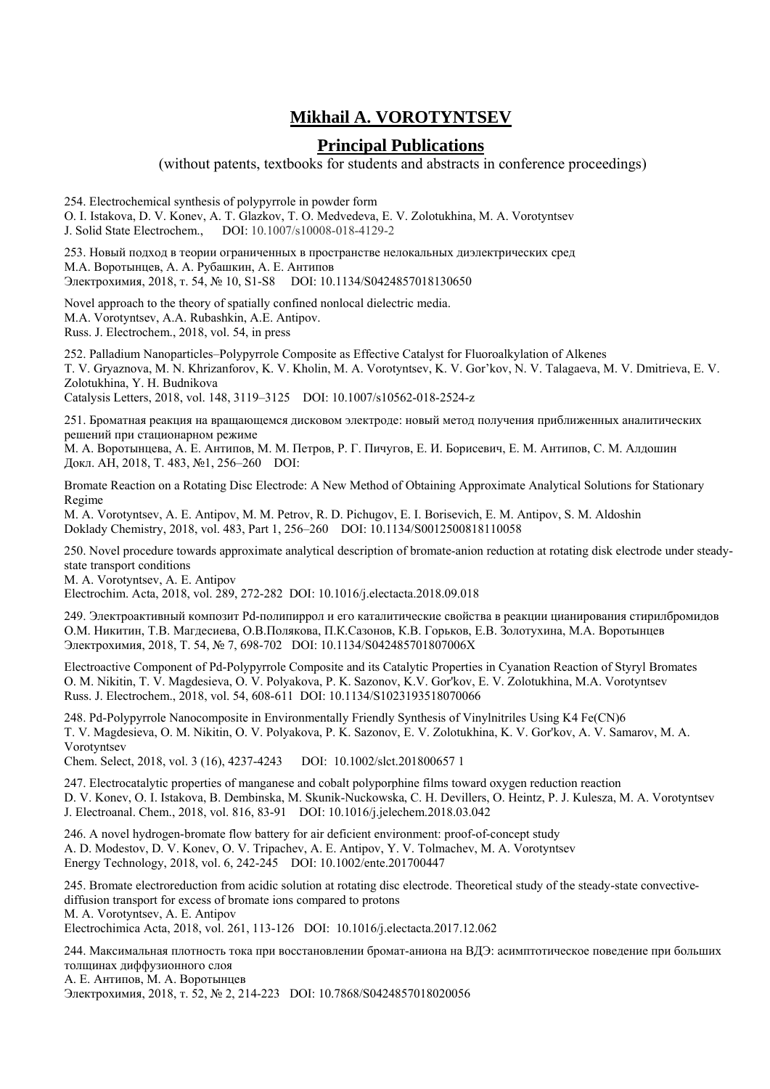## **Mikhail A. VOROTYNTSEV**

## **Principal Publications**

(without patents, textbooks for students and abstracts in conference proceedings)

254. Electrochemical synthesis of polypyrrole in powder form

O. I. Istakova, D. V. Konev, A. T. Glazkov, T. O. Medvedevа, E. V. Zolotukhina, M. A. Vorotyntsev J. Solid State Electrochem., DOI: 10.1007/s10008-018-4129-2

253. Новый подход в теории ограниченных в пространстве нелокальных диэлектрических сред М.А. Воротынцев, А. А. Рубашкин, А. Е. Антипов Электрохимия, 2018, т. 54, № 10, S1-S8 DOI: 10.1134/S0424857018130650

Novel approach to the theory of spatially confined nonlocal dielectric media. M.A. Vorotyntsev, A.A. Rubashkin, A.E. Antipov. Russ. J. Electrochem., 2018, vol. 54, in press

252. Palladium Nanoparticles–Polypyrrole Composite as Effective Catalyst for Fluoroalkylation of Alkenes T. V. Gryaznova, M. N. Khrizanforov, K. V. Kholin, M. A. Vorotyntsev, K. V. Gor'kov, N. V. Talagaeva, M. V. Dmitrieva, E. V. Zolotukhina, Y. H. Budnikova

Catalysis Letters, 2018, vol. 148, 3119–3125 DOI: 10.1007/s10562-018-2524-z

251. Броматная реакция на вращающемся дисковом электроде: новый метод получения приближенных аналитических решений при стационарном режиме

М. А. Воротынцевa, А. Е. Антипов, М. М. Петров, Р. Г. Пичугов, Е. И. Борисевич, Е. М. Антипов, С. М. Алдошин Докл. АН, 2018, T. 483, №1, 256–260 DOI:

Bromate Reaction on a Rotating Disc Electrode: A New Method of Obtaining Approximate Analytical Solutions for Stationary Regime

M. A. Vorotyntsev, A. E. Antipov, M. M. Petrov, R. D. Pichugov, E. I. Borisevich, E. M. Antipov, S. M. Aldoshin Doklady Chemistry, 2018, vol. 483, Part 1, 256–260 DOI: 10.1134/S0012500818110058

250. Novel procedure towards approximate analytical description of bromate-anion reduction at rotating disk electrode under steadystate transport conditions

M. A. Vorotyntsev, A. E. Аntipov

Electrochim. Acta, 2018, vol. 289, 272-282 DOI: 10.1016/j.electacta.2018.09.018

249. Электроактивный композит Pd-полипиррол и его каталитические свойства в реакции цианирования стирилбромидов О.М. Никитин, Т.В. Магдесиева, О.В.Полякова, П.К.Сазонов, К.В. Горьков, Е.В. Золотухина, М.А. Воротынцев Электрохимия, 2018, Т. 54, № 7, 698-702 DOI: 10.1134/S042485701807006X

Electroactive Component of Pd-Polypyrrole Composite and its Catalytic Properties in Cyanation Reaction of Styryl Bromates O. M. Nikitin, T. V. Magdesieva, O. V. Polyakova, P. K. Sazonov, K.V. Gor'kov, E. V. Zolotukhina, M.A. Vorotyntsev Russ. J. Electrochem., 2018, vol. 54, 608-611 DOI: 10.1134/S1023193518070066

248. Pd-Polypyrrole Nanocomposite in Environmentally Friendly Synthesis of Vinylnitriles Using K4 Fe(CN)6 T. V. Magdesieva, O. M. Nikitin, O. V. Polyakova, P. K. Sazonov, E. V. Zolotukhina, K. V. Gor'kov, A. V. Samarov, M. A. Vorotyntsev

Chem. Select, 2018, vol. 3 (16), 4237-4243 DOI: 10.1002/slct.201800657 1

247. Electrocatalytic properties of manganese and cobalt polyporphine films toward oxygen reduction reaction D. V. Konev, O. I. Istakova, B. Dembinska, M. Skunik-Nuckowska, C. H. Devillers, O. Heintz, P. J. Kulesza, M. A. Vorotyntsev J. Electroanal. Chem., 2018, vol. 816, 83-91 DOI: 10.1016/j.jelechem.2018.03.042

246. A novel hydrogen-bromate flow battery for air deficient environment: proof-of-concept study A. D. Modestov, D. V. Konev, O. V. Tripachev, A. E. Antipov, Y. V. Tolmachev, M. A. Vorotyntsev Energy Technology, 2018, vol. 6, 242-245 DOI: 10.1002/ente.201700447

245. Bromate electroreduction from acidic solution at rotating disc electrode. Theoretical study of the steady-state convectivediffusion transport for excess of bromate ions compared to protons M. A. Vorotyntsev, A. E. Antipov Electrochimica Acta, 2018, vol. 261, 113-126 DOI: 10.1016/j.electacta.2017.12.062

244. Максимальная плотность тока при восстановлении бромат-аниона на ВДЭ: асимптотическое поведение при больших толщинах диффузионного слоя А. Е. Aнтипов, М. А. Воротынцев

Электрохимия, 2018, т. 52, № 2, 214-223 DOI: 10.7868/S0424857018020056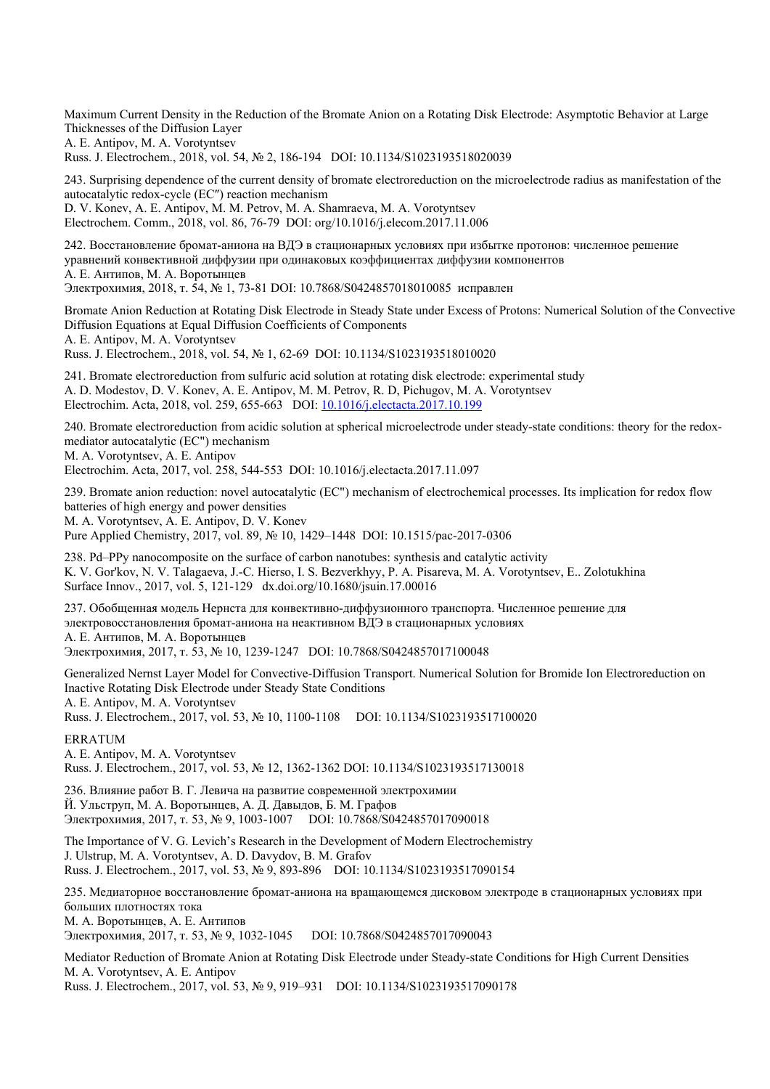Maximum Current Density in the Reduction of the Bromate Anion on a Rotating Disk Electrode: Asymptotic Behavior at Large Thicknesses of the Diffusion Layer

A. E. Antipov, M. A. Vorotyntsev

Russ. J. Electrochem., 2018, vol. 54, № 2, 186-194 DOI: 10.1134/S1023193518020039

243. Surprising dependence of the current density of bromate electroreduction on the microelectrode radius as manifestation of the autocatalytic redox-cycle (EC″) reaction mechanism D. V. Konev, A. E. Antipov, M. M. Petrov, M. A. Shamraeva, M. A. Vorotyntsev

Electrochem. Comm., 2018, vol. 86, 76-79 DOI: org/10.1016/j.elecom.2017.11.006

242. Восстановление бромат-аниона на ВДЭ в стационарных условиях при избытке протонов: численное решение уравнений конвективной диффузии при одинаковых коэффициентах диффузии компонентов А. Е. Aнтипов, М. А. Воротынцев

Электрохимия, 2018, т. 54, № 1, 73-81 DOI: 10.7868/S0424857018010085 исправлен

Bromate Anion Reduction at Rotating Disk Electrode in Steady State under Excess of Protons: Numerical Solution of the Convective Diffusion Equations at Equal Diffusion Coefficients of Components

A. E. Antipov, M. A. Vorotyntsev

Russ. J. Electrochem., 2018, vol. 54, № 1, 62-69 DOI: 10.1134/S1023193518010020

241. Bromate electroreduction from sulfuric acid solution at rotating disk electrode: experimental study A. D. Modestov, D. V. Konev, A. E. Antipov, M. M. Petrov, R. D, Pichugov, M. A. Vorotyntsev Electrochim. Acta, 2018, vol. 259, 655-663 DOI: 10.1016/j.electacta.2017.10.199

240. Bromate electroreduction from acidic solution at spherical microelectrode under steady-state conditions: theory for the redoxmediator autocatalytic (EC") mechanism

M. A. Vorotyntsev, A. E. Antipov

Electrochim. Acta, 2017, vol. 258, 544-553 DOI: 10.1016/j.electacta.2017.11.097

239. Bromate anion reduction: novel autocatalytic (EC") mechanism of electrochemical processes. Its implication for redox flow batteries of high energy and power densities

M. A. Vorotyntsev, А. Е. Antipov, D. V. Konev

Pure Applied Chemistry, 2017, vol. 89, № 10, 1429–1448 DOI: 10.1515/pac-2017-0306

238. Pd–PPy nanocomposite on the surface of carbon nanotubes: synthesis and catalytic activity K. V. Gor'kov, N. V. Talagaeva, J.-C. Hierso, I. S. Bezverkhyy, P. A. Pisareva, M. A. Vorotyntsev, E.. Zolotukhina Surface Innov., 2017, vol. 5, 121-129 dx.doi.org/10.1680/jsuin.17.00016

237. Обобщенная модель Нернста для конвективно-диффузионного транспорта. Численное решение для электровосстановления бромат-аниона на неактивном ВДЭ в стационарных условиях А. Е. Aнтипов, М. А. Воротынцев

Электрохимия, 2017, т. 53, № 10, 1239-1247 DOI: 10.7868/S0424857017100048

Generalized Nernst Layer Model for Convective-Diffusion Transport. Numerical Solution for Bromide Ion Electroreduction on Inactive Rotating Disk Electrode under Steady State Conditions

А. Е. Antipov, M. A. Vorotyntsev

Russ. J. Electrochem., 2017, vol. 53, № 10, 1100-1108 DOI: 10.1134/S1023193517100020

## ERRATUM

А. Е. Antipov, M. A. Vorotyntsev Russ. J. Electrochem., 2017, vol. 53, № 12, 1362-1362 DOI: 10.1134/S1023193517130018

236. Влияние работ В. Г. Левича на развитие современной электрохимии Й. Ульструп, М. А. Воротынцев, А. Д. Давыдов, Б. М. Графов Электрохимия, 2017, т. 53, № 9, 1003-1007 DOI: 10.7868/S0424857017090018

The Importance of V. G. Levich's Research in the Development of Modern Electrochemistry J. Ulstrup, M. A. Vorotyntsev, A. D. Davydov, B. M. Grafov Russ. J. Electrochem., 2017, vol. 53, № 9, 893-896 DOI: 10.1134/S1023193517090154

235. Медиаторное восстановление бромат-аниона на вращающемся дисковом электроде в стационарных условиях при больших плотностях тока

М. А. Воротынцев, А. Е. Aнтипов

Электрохимия, 2017, т. 53, № 9, 1032-1045 DOI: 10.7868/S0424857017090043

Mediator Reduction of Bromate Anion at Rotating Disk Electrode under Steady-state Conditions for High Current Densities M. A. Vorotyntsev, А. Е. Antipov Russ. J. Electrochem., 2017, vol. 53, № 9, 919–931 DOI: 10.1134/S1023193517090178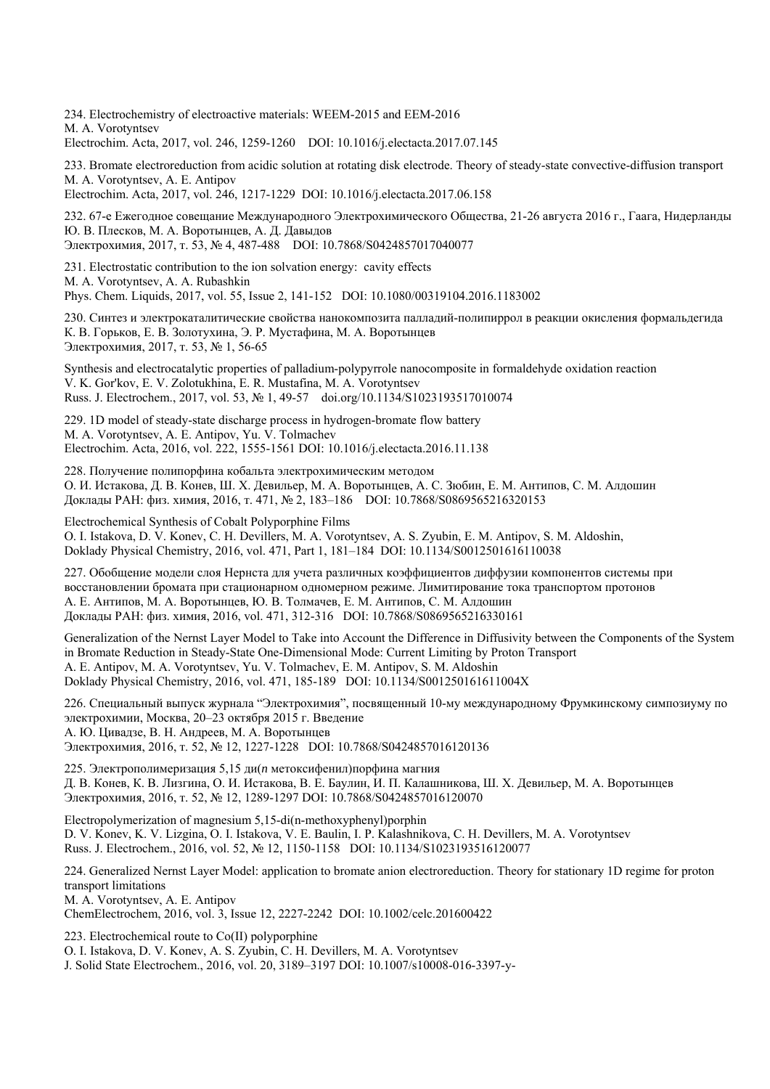234. Electrochemistry of electroactive materials: WEEM-2015 and EEM-2016 M. A. Vorotyntsev Electrochim. Acta, 2017, vol. 246, 1259-1260 DOI: 10.1016/j.electacta.2017.07.145

233. Bromate electroreduction from acidic solution at rotating disk electrode. Theory of steady-state convective-diffusion transport M. A. Vorotyntsev, А. Е. Antipov

Electrochim. Acta, 2017, vol. 246, 1217-1229 DOI: 10.1016/j.electacta.2017.06.158

232. 67-е Ежегодное совещание Международного Электрохимического Общества, 21-26 августа 2016 г., Гаага, Нидерланды Ю. В. Плесков, М. А. Воротынцев, А. Д. Давыдов

Электрохимия, 2017, т. 53, № 4, 487-488 DOI: 10.7868/S0424857017040077

231. Electrostatic contribution to the ion solvation energy: cavity effects M. A. Vorotyntsev, A. A. Rubashkin

Phys. Chem. Liquids, 2017, vol. 55, Issue 2, 141-152 DOI: 10.1080/00319104.2016.1183002

230. Синтез и электрокаталитические свойства нанокомпозита палладий-полипиррол в реакции окисления формальдегида К. В. Горьков, Е. В. Золотухина, Э. Р. Мустафина, М. А. Воротынцев Электрохимия, 2017, т. 53, № 1, 56-65

Synthesis and electrocatalytic properties of palladium-polypyrrole nanocomposite in formaldehyde oxidation reaction V. K. Gor'kov, E. V. Zolotukhina, E. R. Mustafina, M. A. Vorotyntsev Russ. J. Electrochem., 2017, vol. 53, № 1, 49-57 doi.org/10.1134/S1023193517010074

229. 1D model of steady-state discharge process in hydrogen-bromate flow battery M. A. Vorotyntsev, А. Е. Antipov, Yu. V. Tolmachev Electrochim. Acta, 2016, vol. 222, 1555-1561 DOI: 10.1016/j.electacta.2016.11.138

228. Получение полипорфина кобальта электрохимическим методом О. И. Истакова, Д. В. Конев, Ш. Х. Девильер, М. А. Воротынцев, А. С. Зюбин, Е. М. Антипов, С. М. Алдошин Доклады РАН: физ. химия, 2016, т. 471, № 2, 183–186 DOI: 10.7868/S0869565216320153

Electrochemical Synthesis of Cobalt Polyporphine Films

O. I. Istakova, D. V. Konev, C. H. Devillers, M. A. Vorotyntsev, A. S. Zyubin, E. M. Antipov, S. M. Aldoshin, Doklady Physical Chemistry, 2016, vol. 471, Part 1, 181–184 DOI: 10.1134/S0012501616110038

227. Обобщение модели слоя Нернста для учета различных коэффициентов диффузии компонентов системы при восстановлении бромата при стационарном одномерном режиме. Лимитирование тока транспортом протонов А. Е. Антипов, М. А. Воротынцев, Ю. В. Толмачев, Е. М. Антипов, С. М. Алдошин Доклады РАН: физ. химия, 2016, vol. 471, 312-316 DOI: 10.7868/S0869565216330161

Generalization of the Nernst Layer Model to Take into Account the Difference in Diffusivity between the Components of the System in Bromate Reduction in Steady-State One-Dimensional Mode: Current Limiting by Proton Transport А. Е. Antipov, M. A. Vorotyntsev, Yu. V. Tolmachev, E. M. Antipov, S. M. Aldoshin Doklady Physical Chemistry, 2016, vol. 471, 185-189 DOI: 10.1134/S001250161611004X

226. Специальный выпуск журнала "Электрохимия", посвященный 10-му международному Фрумкинскому симпозиуму по электрохимии, Москва, 20–23 октября 2015 г. Введение А. Ю. Цивадзе, В. Н. Андреев, М. А. Воротынцев

Электрохимия, 2016, т. 52, № 12, 1227-1228 DOI: 10.7868/S0424857016120136

225. Электрополимеризация 5,15 ди(*n* метоксифенил)порфина магния Д. В. Конев, К. В. Лизгина, О. И. Истакова, В. Е. Баулин, И. П. Калашникова, Ш. Х. Девильер, М. А. Воротынцев Электрохимия, 2016, т. 52, № 12, 1289-1297 DOI: 10.7868/S0424857016120070

Electropolymerization of magnesium 5,15-di(n-methoxyphenyl)porphin D. V. Konev, K. V. Lizgina, O. I. Istakova, V. E. Baulin, I. P. Kalashnikova, C. H. Devillers, M. A. Vorotyntsev Russ. J. Electrochem., 2016, vol. 52, № 12, 1150-1158 DOI: 10.1134/S1023193516120077

224. Generalized Nernst Layer Model: application to bromate anion electroreduction. Theory for stationary 1D regime for proton transport limitations

M. A. Vorotyntsev, А. Е. Antipov

ChemElectrochem, 2016, vol. 3, Issue 12, 2227-2242 DOI: 10.1002/celc.201600422

223. Electrochemical route to Co(II) polyporphine

O. I. Istakova, D. V. Konev, A. S. Zyubin, C. H. Devillers, M. A. Vorotyntsev

J. Solid State Electrochem., 2016, vol. 20, 3189–3197 DOI: 10.1007/s10008-016-3397-y-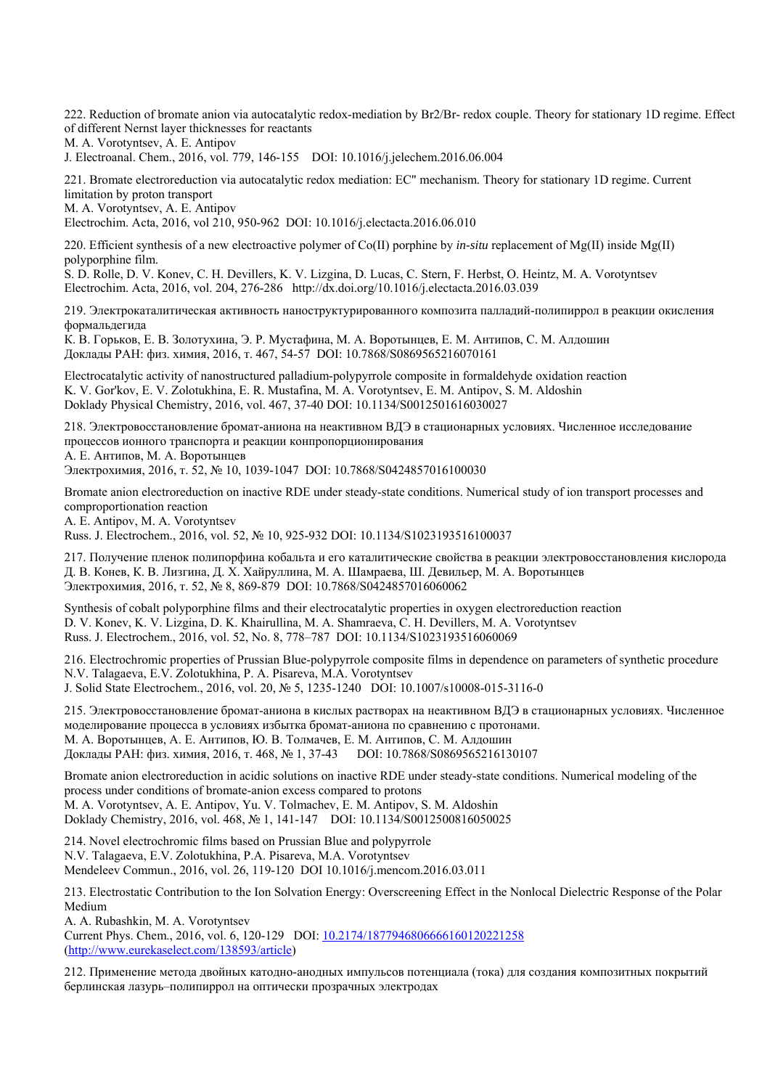222. Reduction of bromate anion via autocatalytic redox-mediation by Br2/Br- redox couple. Theory for stationary 1D regime. Effect of different Nernst layer thicknesses for reactants

M. A. Vorotyntsev, А. Е. Antipov

J. Electroanal. Chem., 2016, vol. 779, 146-155 DOI: 10.1016/j.jelechem.2016.06.004

221. Bromate electroreduction via autocatalytic redox mediation: EC" mechanism. Theory for stationary 1D regime. Current limitation by proton transport

M. A. Vorotyntsev, А. Е. Antipov

Electrochim. Acta, 2016, vol 210, 950-962 DOI: 10.1016/j.electacta.2016.06.010

220. Efficient synthesis of a new electroactive polymer of Co(II) porphine by *in-situ* replacement of Mg(II) inside Mg(II) polyporphine film.

S. D. Rolle, D. V. Konev, C. H. Devillers, K. V. Lizgina, D. Lucas, C. Stern, F. Herbst, O. Heintz, M. A. Vorotyntsev Electrochim. Acta, 2016, vol. 204, 276-286 http://dx.doi.org/10.1016/j.electacta.2016.03.039

219. Электрокаталитическая активность наноструктурированного композита палладий-полипиррол в реакции окисления формальдегида

К. В. Горьков, Е. В. Золотухина, Э. Р. Мустафина, М. А. Воротынцев, Е. М. Антипов, С. М. Алдошин Доклады РАН: физ. химия, 2016, т. 467, 54-57 DOI: 10.7868/S0869565216070161

Electrocatalytic activity of nanostructured palladium-polypyrrole composite in formaldehyde oxidation reaction K. V. Gor'kov, E. V. Zolotukhina, E. R. Mustafina, M. A. Vorotyntsev, E. M. Antipov, S. M. Aldoshin Doklady Physical Chemistry, 2016, vol. 467, 37-40 DOI: 10.1134/S0012501616030027

218. Электровосстановление бромат-аниона на неактивном ВДЭ в стационарных условиях. Численное исследование процессов ионного транспорта и реакции конпропорционирования А. Е. Антипов, М. А. Воротынцев

Электрохимия, 2016, т. 52, № 10, 1039-1047 DOI: 10.7868/S0424857016100030

Bromate anion electroreduction on inactive RDE under steady-state conditions. Numerical study of ion transport processes and comproportionation reaction

А. Е. Antipov, M. A. Vorotyntsev

Russ. J. Electrochem., 2016, vol. 52, № 10, 925-932 DOI: 10.1134/S1023193516100037

217. Получение пленок полипорфина кобальта и его каталитические свойства в реакции электровосстановления кислорода Д. В. Конев, К. В. Лизгина, Д. Х. Хайруллина, М. А. Шамраева, Ш. Девильер, М. А. Воротынцев Электрохимия, 2016, т. 52, № 8, 869-879 DOI: 10.7868/S0424857016060062

Synthesis of cobalt polyporphine films and their electrocatalytic properties in oxygen electroreduction reaction D. V. Konev, K. V. Lizgina, D. K. Khairullina, M. A. Shamraeva, C. H. Devillers, M. A. Vorotyntsev Russ. J. Electrochem., 2016, vol. 52, No. 8, 778–787 DOI: 10.1134/S1023193516060069

216. Electrochromic properties of Prussian Blue-polypyrrole composite films in dependence on parameters of synthetic procedure N.V. Talagaeva, E.V. Zolotukhina, P. A. Pisareva, M.A. Vorotyntsev J. Solid State Electrochem., 2016, vol. 20, № 5, 1235-1240 DOI: 10.1007/s10008-015-3116-0

215. Электровосстановление бромат-аниона в кислых растворах на неактивном ВДЭ в стационарных условиях. Численное моделирование процесса в условиях избытка бромат-аниона по сравнению с протонами. М. А. Воротынцев, А. Е. Антипов, Ю. В. Толмачев, Е. М. Антипов, С. М. Алдошин Доклады РАН: физ. химия, 2016, т. 468, № 1, 37-43 DOI: 10.7868/S0869565216130107

Bromate anion electroreduction in acidic solutions on inactive RDE under steady-state conditions. Numerical modeling of the process under conditions of bromate-anion excess compared to protons M. A. Vorotyntsev, А. Е. Antipov, Yu. V. Tolmachev, E. M. Antipov, S. M. Aldoshin Doklady Chemistry, 2016, vol. 468, № 1, 141-147 DOI: 10.1134/S0012500816050025

214. Novel electrochromic films based on Prussian Blue and polypyrrole N.V. Talagaeva, E.V. Zolotukhina, P.A. Pisareva, M.A. Vorotyntsev Mendeleev Commun., 2016, vol. 26, 119-120 DOI 10.1016/j.mencom.2016.03.011

213. Electrostatic Contribution to the Ion Solvation Energy: Overscreening Effect in the Nonlocal Dielectric Response of the Polar Medium

A. A. Rubashkin, M. A. Vorotyntsev Current Phys. Chem., 2016, vol. 6, 120-129 DOI: 10.2174/1877946806666160120221258 (http://www.eurekaselect.com/138593/article)

212. Применение метода двойных катодно-анодных импульсов потенциала (тока) для создания композитных покрытий берлинская лазурь–полипиррол на оптически прозрачных электродах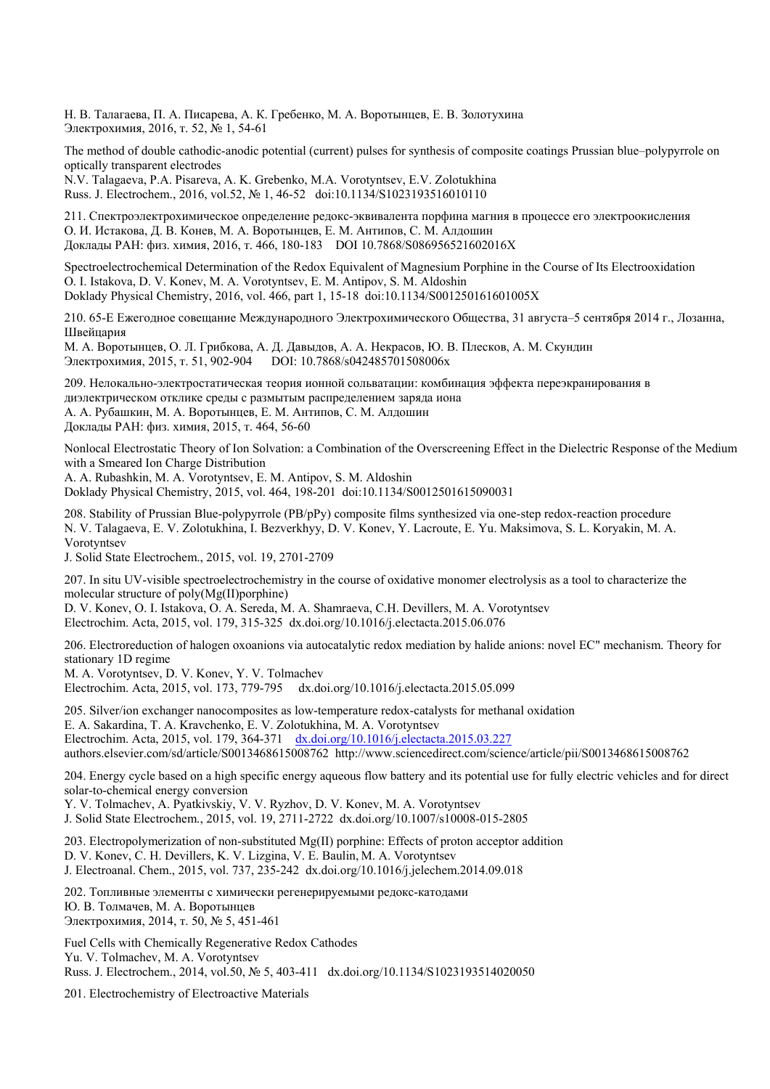Н. В. Талагаева, П. А. Писарева, А. К. Гребенко, М. А. Воротынцев, Е. В. Золотухина Электрохимия, 2016, т. 52, № 1, 54-61

The method of double cathodic-anodic potential (current) pulses for synthesis of composite coatings Prussian blue–polypyrrole on optically transparent electrodes

N.V. Talagaeva, P.A. Pisareva, A. K. Grebenko, M.A. Vorotyntsev, E.V. Zolotukhina Russ. J. Electrochem., 2016, vol.52, № 1, 46-52 doi:10.1134/S1023193516010110

211. Cпектроэлектрохимическое определение редокс-эквивалента порфина магния в процессе его электроокисления О. И. Истакова, Д. В. Конев, М. А. Воротынцев, Е. М. Антипов, С. М. Алдошин Доклады РАН: физ. химия, 2016, т. 466, 180-183 DOI 10.7868/S086956521602016X

Spectroelectrochemical Determination of the Redox Equivalent of Magnesium Porphine in the Course of Its Electrooxidation O. I. Istakova, D. V. Konev, M. A. Vorotyntsev, E. M. Antipov, S. M. Aldoshin Doklady Physical Chemistry, 2016, vol. 466, part 1, 15-18 doi:10.1134/S001250161601005X

210. 65-Е Ежегодное совещание Международного Электрохимического Общества, 31 августа–5 сентября 2014 г., Лозанна, Швейцария

М. А. Воротынцев, О. Л. Грибкова, А. Д. Давыдов, А. А. Некрасов, Ю. В. Плесков, А. М. Скундин Электрохимия, 2015, т. 51, 902-904 DOI: 10.7868/s042485701508006x

209. Нелокально-электростатическая теория ионной сольватации: комбинация эффекта переэкранирования в диэлектрическом отклике среды с размытым распределением заряда иона А. А. Рубашкин, М. А. Воротынцев, Е. М. Антипов, С. М. Алдошин Доклады РАН: физ. химия, 2015, т. 464, 56-60

Nonlocal Electrostatic Theory of Ion Solvation: a Combination of the Overscreening Effect in the Dielectric Response of the Medium with a Smeared Ion Charge Distribution

A. A. Rubashkin, M. A. Vorotyntsev, E. M. Antipov, S. M. Aldoshin Doklady Physical Chemistry, 2015, vol. 464, 198-201 doi:10.1134/S0012501615090031

208. Stability of Prussian Blue-polypyrrole (PB/pPy) composite films synthesized via one-step redox-reaction procedure

N. V. Talagaeva, E. V. Zolotukhina, I. Bezverkhyy, D. V. Konev, Y. Lacroute, E. Yu. Maksimova, S. L. Koryakin, M. A. Vorotyntsev

J. Solid State Electrochem., 2015, vol. 19, 2701-2709

207. In situ UV-visible spectroelectrochemistry in the course of oxidative monomer electrolysis as a tool to characterize the molecular structure of poly(Mg(II)porphine)

D. V. Konev, O. I. Istakova, О. А. Sereda, М. А. Shamraeva, C.H. Devillers, M. A. Vorotyntsev Electrochim. Acta, 2015, vol. 179, 315-325 dx.doi.org/10.1016/j.electacta.2015.06.076

206. Electroreduction of halogen oxoanions via autocatalytic redox mediation by halide anions: novel EC" mechanism. Theory for stationary 1D regime

M. A. Vorotyntsev, D. V. Konev, Y. V. Tolmachev Electrochim. Acta, 2015, vol. 173, 779-795 dx.doi.org/10.1016/j.electacta.2015.05.099

205. Silver/ion exchanger nanocomposites as low-temperature redox-catalysts for methanal oxidation E. A. Sakardina, T. A. Kravchenko, E. V. Zolotukhina, M. A. Vorotyntsev Electrochim. Acta, 2015, vol. 179, 364-371 dx.doi.org/10.1016/j.electacta.2015.03.227 authors.elsevier.com/sd/article/S0013468615008762 http://www.sciencedirect.com/science/article/pii/S0013468615008762

204. Energy cycle based on a high specific energy aqueous flow battery and its potential use for fully electric vehicles and for direct solar-to-chemical energy conversion

Y. V. Tolmachev, A. Pyatkivskiy, V. V. Ryzhov, D. V. Konev, M. A. Vorotyntsev J. Solid State Electrochem., 2015, vol. 19, 2711-2722 dx.doi.org/10.1007/s10008-015-2805

203. Electropolymerization of non-substituted Mg(II) porphine: Effects of proton acceptor addition D. V. Konev, C. H. Devillers, K. V. Lizgina, V. E. Baulin, M. A. Vorotyntsev J. Electroanal. Chem., 2015, vol. 737, 235-242 dx.doi.org/10.1016/j.jelechem.2014.09.018

202. Топливные элементы с химически регенерируемыми редокс-катодами Ю. В. Толмачев, М. А. Воротынцев Электрохимия, 2014, т. 50, № 5, 451-461

Fuel Cells with Chemically Regenerative Redox Cathodes Yu. V. Tolmachev, M. A. Vorotyntsev Russ. J. Electrochem., 2014, vol.50, № 5, 403-411 dx.doi.org/10.1134/S1023193514020050

201. Electrochemistry of Electroactive Materials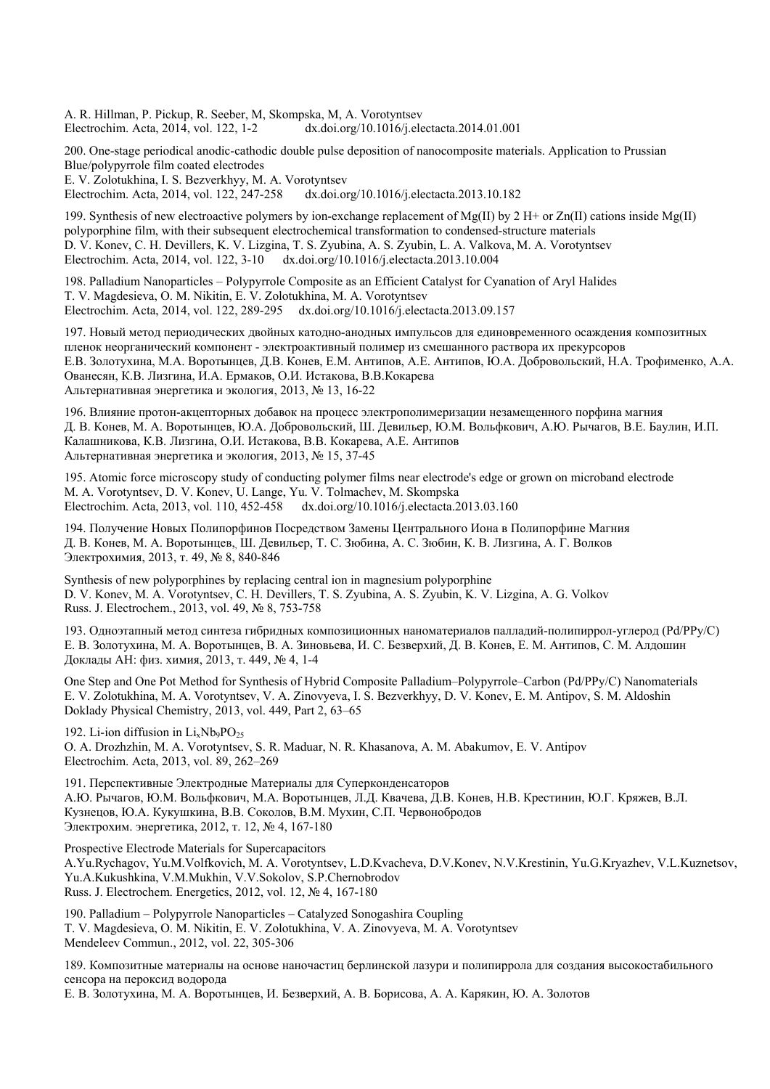A. R. Hillman, P. Pickup, R. Seeber, M, Skompska, M, A. Vorotyntsev Electrochim. Acta, 2014, vol. 122, 1-2 dx.doi.org/10.1016/j.electacta.2014.01.001

200. One-stage periodical anodic-cathodic double pulse deposition of nanocomposite materials. Application to Prussian Blue/polypyrrole film coated electrodes E. V. Zolotukhina, I. S. Bezverkhyy, M. A. Vorotyntsev<br>Electrochim. Acta. 2014. vol. 122. 247-258 dx.doi.org/10.1016/i.electacta.2013.10.182 Electrochim. Acta, 2014, vol. 122, 247-258

199. Synthesis of new electroactive polymers by ion-exchange replacement of Mg(II) by 2 H+ or Zn(II) cations inside Mg(II) polyporphine film, with their subsequent electrochemical transformation to condensed-structure materials D. V. Konev, C. H. Devillers, K. V. Lizgina, T. S. Zyubina, A. S. Zyubin, L. A. Valkova, M. A. Vorotyntsev Electrochim. Acta, 2014, vol. 122, 3-10 dx.doi.org/10.1016/j.electacta.2013.10.004

198. Palladium Nanoparticles – Polypyrrole Composite as an Efficient Catalyst for Cyanation of Aryl Halides T. V. Magdesieva, O. M. Nikitin, E. V. Zolotukhina, M. A. Vorotyntsev Electrochim. Acta, 2014, vol. 122, 289-295 dx.doi.org/10.1016/j.electacta.2013.09.157

197. Новый метод периодических двойных катодно-анодных импульсов для единовременного осаждения композитных пленок неорганический компонент - электроактивный полимер из смешанного раствора их прекурсоров Е.В. Золотухина, М.А. Воротынцев, Д.В. Конев, Е.М. Антипов, А.Е. Антипов, Ю.А. Добровольский, Н.А. Трофименко, А.А. Ованесян, К.В. Лизгина, И.А. Ермаков, О.И. Истакова, В.В.Кокарева Альтернативная энергетика и экология, 2013, № 13, 16-22

196. Влияние протон-акцепторных добавок на процесс электрополимеризации незамещенного порфина магния Д. В. Конев, М. А. Воротынцев, Ю.А. Добровольский, Ш. Девильер, Ю.М. Вольфкович, А.Ю. Рычагов, В.Е. Баулин, И.П. Калашникова, К.В. Лизгина, О.И. Истакова, В.В. Кокарева, А.Е. Антипов Альтернативная энергетика и экология, 2013, № 15, 37-45

195. Atomic force microscopy study of conducting polymer films near electrode's edge or grown on microband electrode M. A. Vorotyntsev, D. V. Konev, U. Lange, Yu. V. Tolmachev, M. Skompska Electrochim. Acta, 2013, vol. 110, 452-458 dx.doi.org/10.1016/j.electacta.2013.03.160

194. Получение Новых Полипорфинов Посредством Замены Центрального Иона в Полипорфине Магния Д. В. Конев, М. А. Воротынцев,, Ш. Девильер, Т. С. Зюбина, А. С. Зюбин, К. В. Лизгина, А. Г. Волков Электрохимия, 2013, т. 49, № 8, 840-846

Synthesis of new polyporphines by replacing central ion in magnesium polyporphine D. V. Konev, M. A. Vorotyntsev, C. H. Devillers, T. S. Zyubina, A. S. Zyubin, K. V. Lizgina, A. G. Volkov Russ. J. Electrochem., 2013, vol. 49, № 8, 753-758

193. Одноэтапный метод синтеза гибридных композиционных наноматериалов палладий-полипиррол-углерод (Pd/PPy/C) Е. В. Золотухина, М. А. Воротынцев, В. А. Зиновьева, И. С. Безверхий, Д. В. Конев, Е. М. Антипов, С. М. Алдошин Доклады АН: физ. химия, 2013, т. 449, № 4, 1-4

One Step and One Pot Method for Synthesis of Hybrid Composite Palladium–Polypyrrole–Carbon (Pd/PPy/C) Nanomaterials E. V. Zolotukhina, M. A. Vorotyntsev, V. A. Zinovyeva, I. S. Bezverkhyy, D. V. Konev, E. M. Antipov, S. M. Aldoshin Doklady Physical Chemistry, 2013, vol. 449, Part 2, 63–65

192. Li-ion diffusion in  $Li_xNb_9PO_{25}$ O. A. Drozhzhin, M. A. Vorotyntsev, S. R. Maduar, N. R. Khasanova, A. M. Abakumov, E. V. Antipov Electrochim. Acta, 2013, vol. 89, 262–269

191. Перспективные Электродные Материалы для Суперконденсаторов А.Ю. Рычагов, Ю.М. Вольфкович, М.А. Воротынцев, Л.Д. Квачева, Д.В. Конев, Н.В. Крестинин, Ю.Г. Кряжев, В.Л. Кузнецов, Ю.А. Кукушкина, В.В. Соколов, В.М. Мухин, С.П. Червонобродов Электрохим. энергетика, 2012, т. 12, № 4, 167-180

Prospective Electrode Materials for Supercapacitors A.Yu.Rychagov, Yu.M.Volfkovich, M. A. Vorotyntsev, L.D.Kvacheva, D.V.Konev, N.V.Krestinin, Yu.G.Kryazhev, V.L.Kuznetsov, Yu.A.Kukushkina, V.M.Mukhin, V.V.Sokolov, S.P.Chernobrodov Russ. J. Electrochem. Energetics, 2012, vol. 12, № 4, 167-180

190. Palladium – Polypyrrole Nanoparticles – Catalyzed Sonogashira Coupling T. V. Magdesieva, O. M. Nikitin, E. V. Zolotukhina, V. A. Zinovyeva, M. A. Vorotyntsev Mendeleev Commun., 2012, vol. 22, 305-306

189. Композитные материалы на основе наночастиц берлинской лазури и полипиррола для создания высокостабильного сенсора на пероксид водорода

Е. В. Золотухина, М. А. Воротынцев, И. Безверхий, А. В. Борисова, А. А. Карякин, Ю. А. Золотов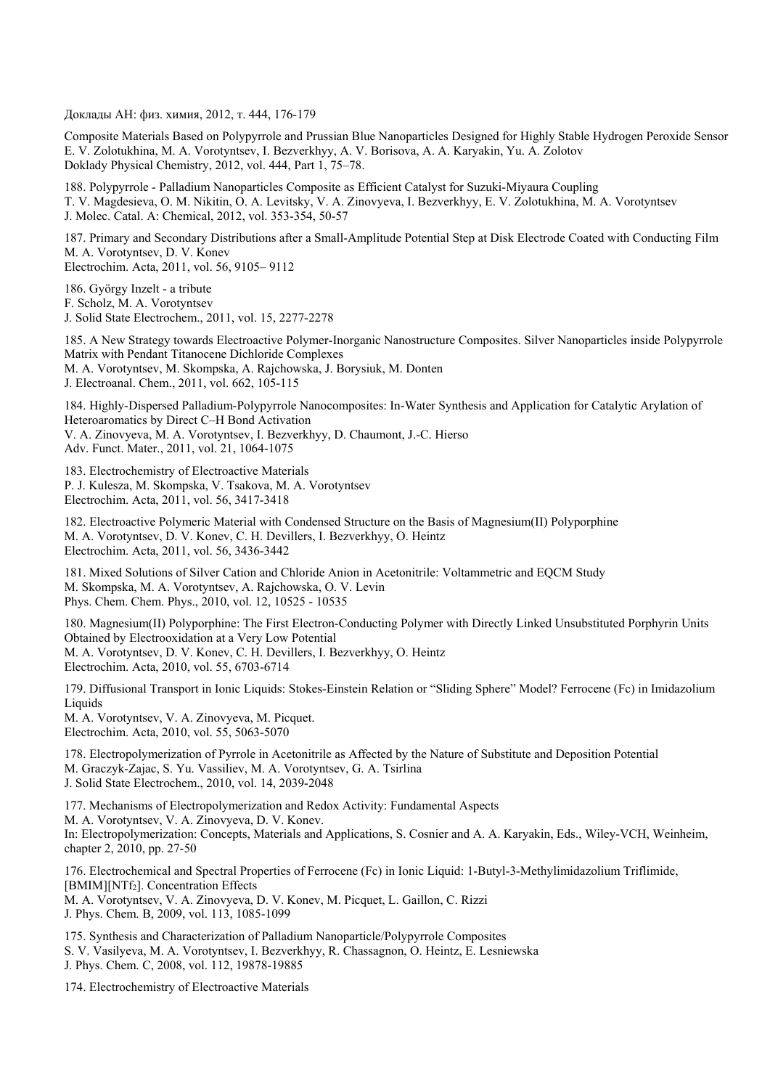Доклады АН: физ. химия, 2012, т. 444, 176-179

Composite Materials Based on Polypyrrole and Prussian Blue Nanoparticles Designed for Highly Stable Hydrogen Peroxide Sensor E. V. Zolotukhina, M. A. Vorotyntsev, I. Bezverkhyy, A. V. Borisova, A. A. Karyakin, Yu. A. Zolotov Doklady Physical Chemistry, 2012, vol. 444, Part 1, 75–78.

188. Polypyrrole - Palladium Nanoparticles Composite as Efficient Catalyst for Suzuki-Miyaura Coupling T. V. Magdesieva, O. M. Nikitin, O. A. Levitsky, V. A. Zinovyeva, I. Bezverkhyy, E. V. Zolotukhina, M. A. Vorotyntsev J. Molec. Catal. A: Chemical, 2012, vol. 353-354, 50-57

187. Primary and Secondary Distributions after a Small-Amplitude Potential Step at Disk Electrode Coated with Conducting Film M. A. Vorotyntsev, D. V. Konev Electrochim. Acta, 2011, vol. 56, 9105– 9112

186. György Inzelt - a tribute F. Scholz, M. A. Vorotyntsev J. Solid State Electrochem., 2011, vol. 15, 2277-2278

185. A New Strategy towards Electroactive Polymer-Inorganic Nanostructure Composites. Silver Nanoparticles inside Polypyrrole Matrix with Pendant Titanocene Dichloride Complexes M. A. Vorotyntsev, M. Skompska, A. Rajchowska, J. Borysiuk, M. Donten J. Electroanal. Chem., 2011, vol. 662, 105-115

184. Highly-Dispersed Palladium-Polypyrrole Nanocomposites: In-Water Synthesis and Application for Catalytic Arylation of Heteroaromatics by Direct C–H Bond Activation V. A. Zinovyeva, M. A. Vorotyntsev, I. Bezverkhyy, D. Chaumont, J.-C. Hierso Adv. Funct. Mater., 2011, vol. 21, 1064-1075

183. Electrochemistry of Electroactive Materials P. J. Kulesza, M. Skompska, V. Tsakova, M. A. Vorotyntsev Electrochim. Acta, 2011, vol. 56, 3417-3418

182. Electroactive Polymeric Material with Condensed Structure on the Basis of Magnesium(II) Polyporphine M. A. Vorotyntsev, D. V. Konev, C. H. Devillers, I. Bezverkhyy, O. Heintz Electrochim. Acta, 2011, vol. 56, 3436-3442

181. Mixed Solutions of Silver Cation and Chloride Anion in Acetonitrile: Voltammetric and EQCM Study M. Skompska, M. A. Vorotyntsev, A. Rajchowska, O. V. Levin Phys. Chem. Chem. Phys., 2010, vol. 12, 10525 - 10535

180. Magnesium(II) Polyporphine: The First Electron-Conducting Polymer with Directly Linked Unsubstituted Porphyrin Units Obtained by Electrooxidation at a Very Low Potential M. A. Vorotyntsev, D. V. Konev, C. H. Devillers, I. Bezverkhyy, O. Heintz Electrochim. Acta, 2010, vol. 55, 6703-6714

179. Diffusional Transport in Ionic Liquids: Stokes-Einstein Relation or "Sliding Sphere" Model? Ferrocene (Fc) in Imidazolium Liquids

M. A. Vorotyntsev, V. A. Zinovyeva, M. Picquet. Electrochim. Acta, 2010, vol. 55, 5063-5070

178. Electropolymerization of Pyrrole in Acetonitrile as Affected by the Nature of Substitute and Deposition Potential M. Graczyk-Zajac, S. Yu. Vassiliev, M. A. Vorotyntsev, G. A. Tsirlina J. Solid State Electrochem., 2010, vol. 14, 2039-2048

177. Mechanisms of Electropolymerization and Redox Activity: Fundamental Aspects M. A. Vorotyntsev, V. A. Zinovyeva, D. V. Konev. In: Electropolymerization: Concepts, Materials and Applications, S. Cosnier and A. A. Karyakin, Eds., Wiley-VCH, Weinheim, chapter 2, 2010, pp. 27-50

176. Electrochemical and Spectral Properties of Ferrocene (Fc) in Ionic Liquid: 1-Butyl-3-Methylimidazolium Triflimide, [BMIM][NTf<sub>2</sub>]. Concentration Effects M. A. Vorotyntsev, V. A. Zinovyeva, D. V. Konev, M. Picquet, L. Gaillon, C. Rizzi

J. Phys. Chem. B, 2009, vol. 113, 1085-1099

175. Synthesis and Characterization of Palladium Nanoparticle/Polypyrrole Composites S. V. Vasilyeva, M. A. Vorotyntsev, I. Bezverkhyy, R. Chassagnon, O. Heintz, E. Lesniewska J. Phys. Chem. C, 2008, vol. 112, 19878-19885

174. Electrochemistry of Electroactive Materials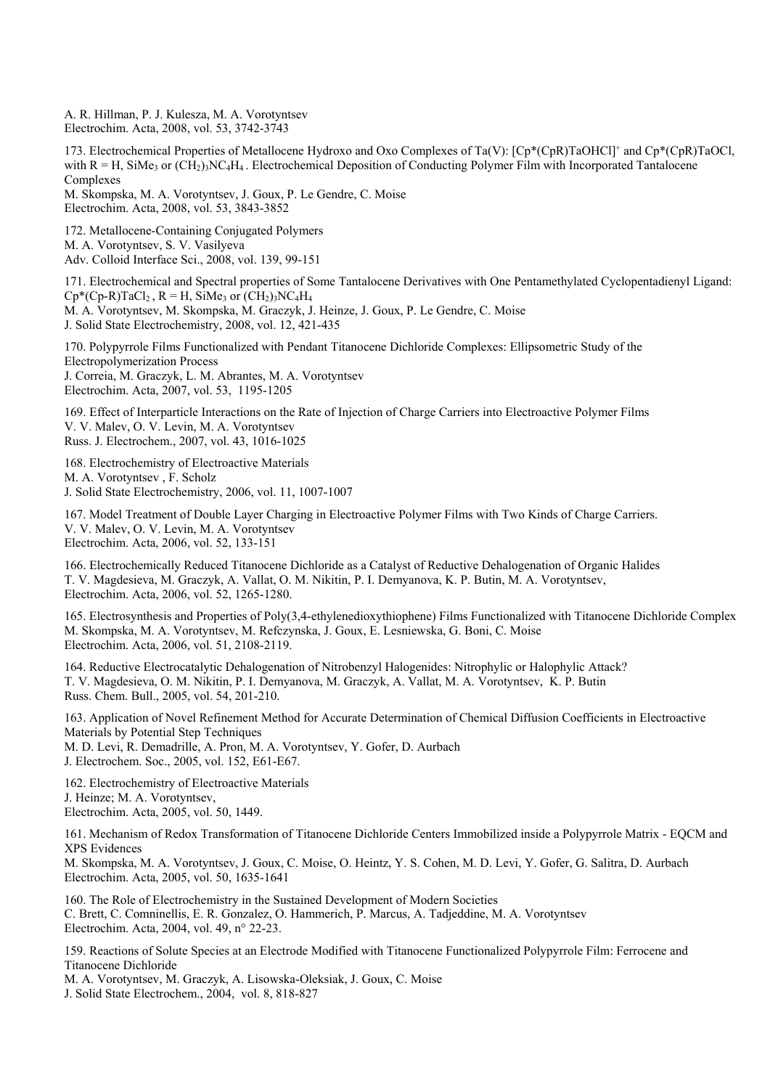A. R. Hillman, P. J. Kulesza, M. A. Vorotyntsev Electrochim. Acta, 2008, vol. 53, 3742-3743

173. Electrochemical Properties of Metallocene Hydroxo and Oxo Complexes of Ta(V): [Cp\*(CpR)TaOHCl]+ and Cp\*(CpR)TaOCl, with  $R = H$ , SiMe<sub>3</sub> or  $(CH_2)$ <sub>3</sub>NC<sub>4</sub>H<sub>4</sub>. Electrochemical Deposition of Conducting Polymer Film with Incorporated Tantalocene Complexes

M. Skompska, M. A. Vorotyntsev, J. Goux, P. Le Gendre, C. Moise Electrochim. Acta, 2008, vol. 53, 3843-3852

172. Metallocene-Containing Conjugated Polymers M. A. Vorotyntsev, S. V. Vasilyeva Adv. Colloid Interface Sci., 2008, vol. 139, 99-151

171. Electrochemical and Spectral properties of Some Tantalocene Derivatives with One Pentamethylated Cyclopentadienyl Ligand:  $Cp^*(Cp-R)TaCl_2$ ,  $R = H$ , SiMe<sub>3</sub> or  $(CH_2)_3NC_4H_4$ M. A. Vorotyntsev, M. Skompska, M. Graczyk, J. Heinze, J. Goux, P. Le Gendre, C. Moise J. Solid State Electrochemistry, 2008, vol. 12, 421-435

170. Polypyrrole Films Functionalized with Pendant Titanocene Dichloride Complexes: Ellipsometric Study of the Electropolymerization Process

J. Correia, M. Graczyk, L. M. Abrantes, M. A. Vorotyntsev Electrochim. Acta, 2007, vol. 53, 1195-1205

169. Effect of Interparticle Interactions on the Rate of Injection of Charge Carriers into Electroactive Polymer Films V. V. Malev, O. V. Levin, M. A. Vorotyntsev Russ. J. Electrochem., 2007, vol. 43, 1016-1025

168. Electrochemistry of Electroactive Materials M. A. Vorotyntsev , F. Scholz J. Solid State Electrochemistry, 2006, vol. 11, 1007-1007

167. Model Treatment of Double Layer Charging in Electroactive Polymer Films with Two Kinds of Charge Carriers. V. V. Malev, O. V. Levin, M. A. Vorotyntsev Electrochim. Acta, 2006, vol. 52, 133-151

166. Electrochemically Reduced Titanocene Dichloride as a Catalyst of Reductive Dehalogenation of Organic Halides T. V. Magdesieva, M. Graczyk, A. Vallat, O. M. Nikitin, P. I. Demyanova, K. P. Butin, M. A. Vorotyntsev, Electrochim. Acta, 2006, vol. 52, 1265-1280.

165. Electrosynthesis and Properties of Poly(3,4-ethylenedioxythiophene) Films Functionalized with Titanocene Dichloride Complex M. Skompska, M. A. Vorotyntsev, M. Refczynska, J. Goux, E. Lesniewska, G. Boni, C. Moise Electrochim. Acta, 2006, vol. 51, 2108-2119.

164. Reductive Electrocatalytic Dehalogenation of Nitrobenzyl Halogenides: Nitrophylic or Halophylic Attack? T. V. Magdesieva, O. M. Nikitin, P. I. Demyanova, M. Graczyk, A. Vallat, M. A. Vorotyntsev, K. P. Butin Russ. Chem. Bull., 2005, vol. 54, 201-210.

163. Application of Novel Refinement Method for Accurate Determination of Chemical Diffusion Coefficients in Electroactive Materials by Potential Step Techniques M. D. Levi, R. Demadrille, A. Pron, M. A. Vorotyntsev, Y. Gofer, D. Aurbach

J. Electrochem. Soc., 2005, vol. 152, E61-E67.

162. Electrochemistry of Electroactive Materials J. Heinze; M. A. Vorotyntsev, Electrochim. Acta, 2005, vol. 50, 1449.

161. Mechanism of Redox Transformation of Titanocene Dichloride Centers Immobilized inside a Polypyrrole Matrix - EQCM and XPS Evidences

M. Skompska, M. A. Vorotyntsev, J. Goux, C. Moise, O. Heintz, Y. S. Cohen, M. D. Levi, Y. Gofer, G. Salitra, D. Aurbach Electrochim. Acta, 2005, vol. 50, 1635-1641

160. The Role of Electrochemistry in the Sustained Development of Modern Societies C. Brett, C. Comninellis, E. R. Gonzalez, O. Hammerich, P. Marcus, A. Tadjeddine, M. A. Vorotyntsev Electrochim. Acta, 2004, vol. 49, n° 22-23.

159. Reactions of Solute Species at an Electrode Modified with Titanocene Functionalized Polypyrrole Film: Ferrocene and Titanocene Dichloride

M. A. Vorotyntsev, M. Graczyk, A. Lisowska-Oleksiak, J. Goux, C. Moise J. Solid State Electrochem., 2004, vol. 8, 818-827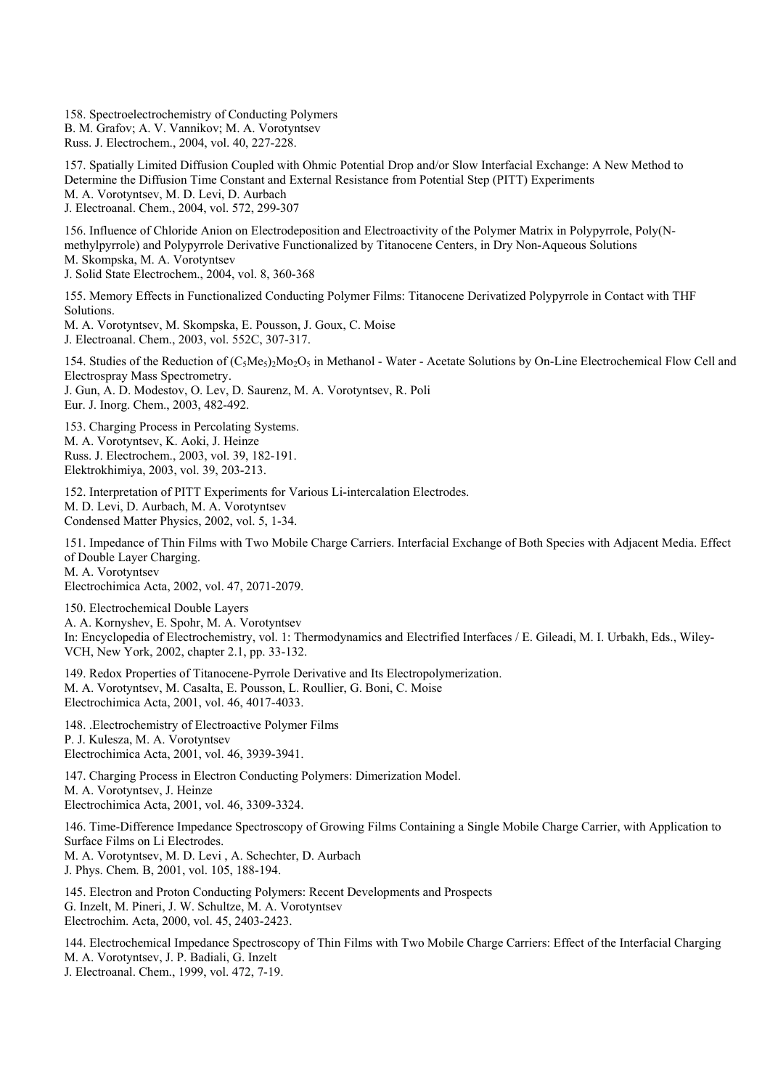158. Spectroelectrochemistry of Conducting Polymers B. M. Grafov; A. V. Vannikov; M. A. Vorotyntsev Russ. J. Electrochem., 2004, vol. 40, 227-228.

157. Spatially Limited Diffusion Coupled with Ohmic Potential Drop and/or Slow Interfacial Exchange: A New Method to Determine the Diffusion Time Constant and External Resistance from Potential Step (PITT) Experiments M. A. Vorotyntsev, M. D. Levi, D. Aurbach J. Electroanal. Chem., 2004, vol. 572, 299-307

156. Influence of Chloride Anion on Electrodeposition and Electroactivity of the Polymer Matrix in Polypyrrole, Poly(Nmethylpyrrole) and Polypyrrole Derivative Functionalized by Titanocene Centers, in Dry Non-Aqueous Solutions M. Skompska, M. A. Vorotyntsev J. Solid State Electrochem., 2004, vol. 8, 360-368

155. Memory Effects in Functionalized Conducting Polymer Films: Titanocene Derivatized Polypyrrole in Contact with THF Solutions.

M. A. Vorotyntsev, M. Skompska, E. Pousson, J. Goux, C. Moise J. Electroanal. Chem., 2003, vol. 552C, 307-317.

154. Studies of the Reduction of (C<sub>5</sub>Me<sub>5</sub>)<sub>2</sub>Mo<sub>2</sub>O<sub>5</sub> in Methanol - Water - Acetate Solutions by On-Line Electrochemical Flow Cell and Electrospray Mass Spectrometry.

J. Gun, A. D. Modestov, O. Lev, D. Saurenz, M. A. Vorotyntsev, R. Poli Eur. J. Inorg. Chem., 2003, 482-492.

153. Charging Process in Percolating Systems. M. A. Vorotyntsev, K. Aoki, J. Heinze Russ. J. Electrochem., 2003, vol. 39, 182-191. Elektrokhimiya, 2003, vol. 39, 203-213.

152. Interpretation of PITT Experiments for Various Li-intercalation Electrodes. M. D. Levi, D. Aurbach, M. A. Vorotyntsev Condensed Matter Physics, 2002, vol. 5, 1-34.

151. Impedance of Thin Films with Two Mobile Charge Carriers. Interfacial Exchange of Both Species with Adjacent Media. Effect of Double Layer Charging. M. A. Vorotyntsev

Electrochimica Acta, 2002, vol. 47, 2071-2079.

150. Electrochemical Double Layers A. A. Kornyshev, E. Spohr, M. A. Vorotyntsev In: Encyclopedia of Electrochemistry, vol. 1: Thermodynamics and Electrified Interfaces / E. Gileadi, M. I. Urbakh, Eds., Wiley-VCH, New York, 2002, chapter 2.1, pp. 33-132.

149. Redox Properties of Titanocene-Pyrrole Derivative and Its Electropolymerization. M. A. Vorotyntsev, M. Casalta, E. Pousson, L. Roullier, G. Boni, C. Moise Electrochimica Acta, 2001, vol. 46, 4017-4033.

148. .Electrochemistry of Electroactive Polymer Films P. J. Kulesza, M. A. Vorotyntsev Electrochimica Acta, 2001, vol. 46, 3939-3941.

147. Charging Process in Electron Conducting Polymers: Dimerization Model. M. A. Vorotyntsev, J. Heinze Electrochimica Acta, 2001, vol. 46, 3309-3324.

146. Time-Difference Impedance Spectroscopy of Growing Films Containing a Single Mobile Charge Carrier, with Application to Surface Films on Li Electrodes. M. A. Vorotyntsev, M. D. Levi , A. Schechter, D. Aurbach J. Phys. Chem. B, 2001, vol. 105, 188-194.

145. Electron and Proton Conducting Polymers: Recent Developments and Prospects G. Inzelt, M. Pineri, J. W. Schultze, M. A. Vorotyntsev Electrochim. Acta, 2000, vol. 45, 2403-2423.

144. Electrochemical Impedance Spectroscopy of Thin Films with Two Mobile Charge Carriers: Effect of the Interfacial Charging M. A. Vorotyntsev, J. P. Badiali, G. Inzelt J. Electroanal. Chem., 1999, vol. 472, 7-19.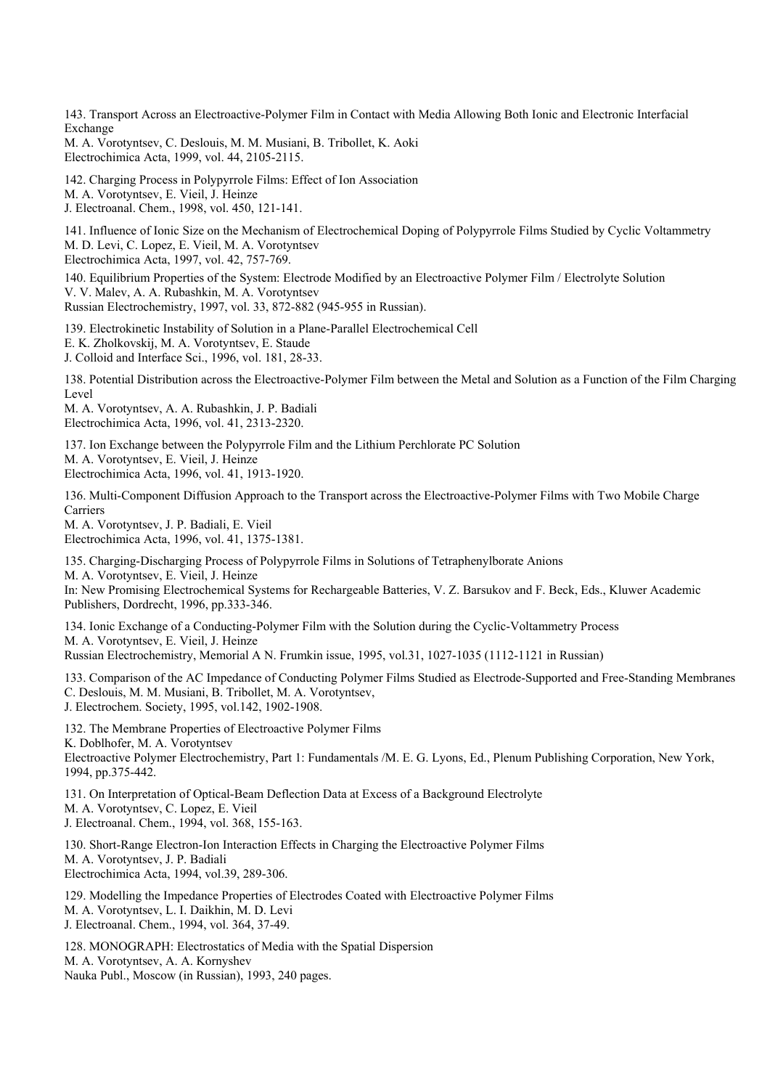143. Transport Across an Electroactive-Polymer Film in Contact with Media Allowing Both Ionic and Electronic Interfacial Exchange

M. A. Vorotyntsev, C. Deslouis, M. M. Musiani, B. Tribollet, K. Aoki Electrochimica Acta, 1999, vol. 44, 2105-2115.

142. Charging Process in Polypyrrole Films: Effect of Ion Association M. A. Vorotyntsev, E. Vieil, J. Heinze J. Electroanal. Chem., 1998, vol. 450, 121-141.

141. Influence of Ionic Size on the Mechanism of Electrochemical Doping of Polypyrrole Films Studied by Cyclic Voltammetry M. D. Levi, C. Lopez, E. Vieil, M. A. Vorotyntsev Electrochimica Acta, 1997, vol. 42, 757-769.

140. Equilibrium Properties of the System: Electrode Modified by an Electroactive Polymer Film / Electrolyte Solution V. V. Malev, A. A. Rubashkin, M. A. Vorotyntsev Russian Electrochemistry, 1997, vol. 33, 872-882 (945-955 in Russian).

139. Electrokinetic Instability of Solution in a Plane-Parallel Electrochemical Cell

E. K. Zholkovskij, M. A. Vorotyntsev, E. Staude

J. Colloid and Interface Sci., 1996, vol. 181, 28-33.

138. Potential Distribution across the Electroactive-Polymer Film between the Metal and Solution as a Function of the Film Charging Level

M. A. Vorotyntsev, A. A. Rubashkin, J. P. Badiali Electrochimica Acta, 1996, vol. 41, 2313-2320.

137. Ion Exchange between the Polypyrrole Film and the Lithium Perchlorate PC Solution M. A. Vorotyntsev, E. Vieil, J. Heinze Electrochimica Acta, 1996, vol. 41, 1913-1920.

136. Multi-Component Diffusion Approach to the Transport across the Electroactive-Polymer Films with Two Mobile Charge Carriers

M. A. Vorotyntsev, J. P. Badiali, E. Vieil Electrochimica Acta, 1996, vol. 41, 1375-1381.

135. Charging-Discharging Process of Polypyrrole Films in Solutions of Tetraphenylborate Anions M. A. Vorotyntsev, E. Vieil, J. Heinze In: New Promising Electrochemical Systems for Rechargeable Batteries, V. Z. Barsukov and F. Beck, Eds., Kluwer Academic Publishers, Dordrecht, 1996, pp.333-346.

134. Ionic Exchange of a Conducting-Polymer Film with the Solution during the Cyclic-Voltammetry Process M. A. Vorotyntsev, E. Vieil, J. Heinze Russian Electrochemistry, Memorial A N. Frumkin issue, 1995, vol.31, 1027-1035 (1112-1121 in Russian)

133. Comparison of the AC Impedance of Conducting Polymer Films Studied as Electrode-Supported and Free-Standing Membranes C. Deslouis, M. M. Musiani, B. Tribollet, M. A. Vorotyntsev,

J. Electrochem. Society, 1995, vol.142, 1902-1908.

132. The Membrane Properties of Electroactive Polymer Films K. Doblhofer, M. A. Vorotyntsev Electroactive Polymer Electrochemistry, Part 1: Fundamentals /M. E. G. Lyons, Ed., Plenum Publishing Corporation, New York, 1994, pp.375-442.

131. On Interpretation of Optical-Beam Deflection Data at Excess of a Background Electrolyte M. A. Vorotyntsev, C. Lopez, E. Vieil J. Electroanal. Chem., 1994, vol. 368, 155-163.

130. Short-Range Electron-Ion Interaction Effects in Charging the Electroactive Polymer Films M. A. Vorotyntsev, J. P. Badiali Electrochimica Acta, 1994, vol.39, 289-306.

129. Modelling the Impedance Properties of Electrodes Coated with Electroactive Polymer Films M. A. Vorotyntsev, L. I. Daikhin, M. D. Levi J. Electroanal. Chem., 1994, vol. 364, 37-49.

128. MONOGRAPH: Electrostatics of Media with the Spatial Dispersion M. A. Vorotyntsev, A. A. Kornyshev Nauka Publ., Moscow (in Russian), 1993, 240 pages.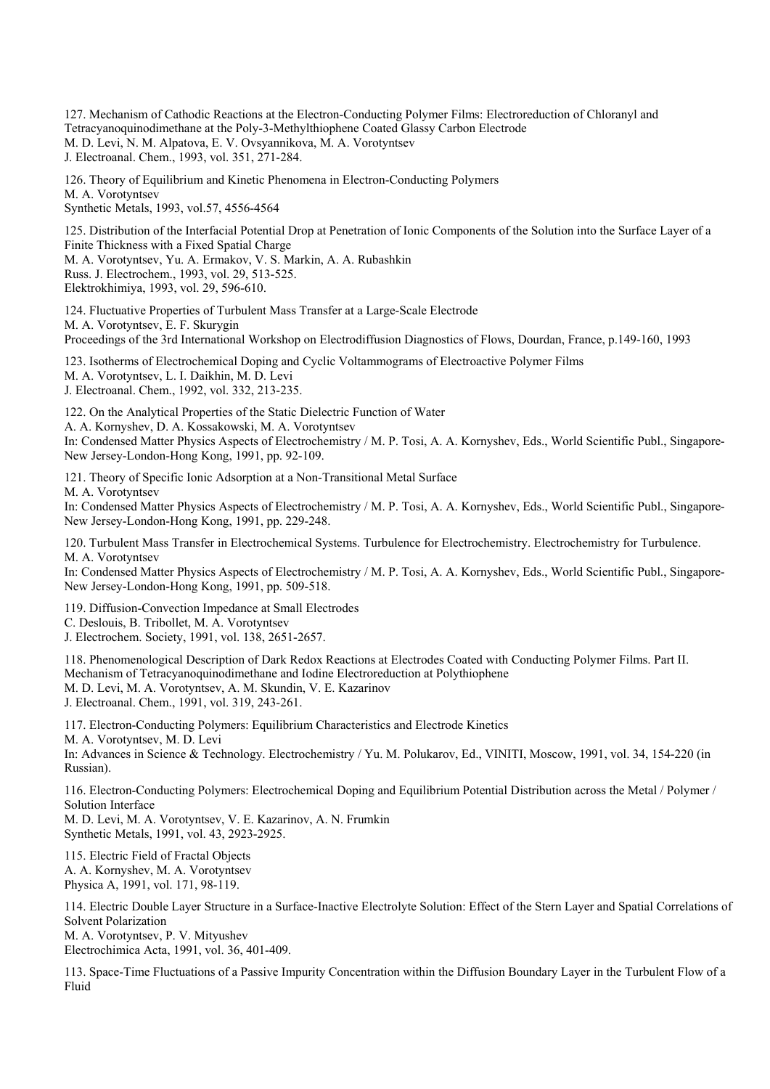127. Mechanism of Cathodic Reactions at the Electron-Conducting Polymer Films: Electroreduction of Chloranyl and Tetracyanoquinodimethane at the Poly-3-Methylthiophene Coated Glassy Carbon Electrode M. D. Levi, N. M. Alpatova, E. V. Ovsyannikova, M. A. Vorotyntsev J. Electroanal. Chem., 1993, vol. 351, 271-284.

126. Theory of Equilibrium and Kinetic Phenomena in Electron-Conducting Polymers M. A. Vorotyntsev Synthetic Metals, 1993, vol.57, 4556-4564

125. Distribution of the Interfacial Potential Drop at Penetration of Ionic Components of the Solution into the Surface Layer of a Finite Thickness with a Fixed Spatial Charge M. A. Vorotyntsev, Yu. A. Ermakov, V. S. Markin, A. A. Rubashkin Russ. J. Electrochem., 1993, vol. 29, 513-525. Elektrokhimiya, 1993, vol. 29, 596-610.

124. Fluctuative Properties of Turbulent Mass Transfer at a Large-Scale Electrode M. A. Vorotyntsev, E. F. Skurygin Proceedings of the 3rd International Workshop on Electrodiffusion Diagnostics of Flows, Dourdan, France, p.149-160, 1993

123. Isotherms of Electrochemical Doping and Cyclic Voltammograms of Electroactive Polymer Films M. A. Vorotyntsev, L. I. Daikhin, M. D. Levi J. Electroanal. Chem., 1992, vol. 332, 213-235.

122. On the Analytical Properties of the Static Dielectric Function of Water A. A. Kornyshev, D. A. Kossakowski, M. A. Vorotyntsev In: Condensed Matter Physics Aspects of Electrochemistry / M. P. Tosi, A. A. Kornyshev, Eds., World Scientific Publ., Singapore-New Jersey-London-Hong Kong, 1991, pp. 92-109.

121. Theory of Specific Ionic Adsorption at a Non-Transitional Metal Surface M. A. Vorotyntsev

In: Condensed Matter Physics Aspects of Electrochemistry / M. P. Tosi, A. A. Kornyshev, Eds., World Scientific Publ., Singapore-New Jersey-London-Hong Kong, 1991, pp. 229-248.

120. Turbulent Mass Transfer in Electrochemical Systems. Turbulence for Electrochemistry. Electrochemistry for Turbulence. M. A. Vorotyntsev

In: Condensed Matter Physics Aspects of Electrochemistry / M. P. Tosi, A. A. Kornyshev, Eds., World Scientific Publ., Singapore-New Jersey-London-Hong Kong, 1991, pp. 509-518.

119. Diffusion-Convection Impedance at Small Electrodes

C. Deslouis, B. Tribollet, M. A. Vorotyntsev

J. Electrochem. Society, 1991, vol. 138, 2651-2657.

118. Phenomenological Description of Dark Redox Reactions at Electrodes Coated with Conducting Polymer Films. Part II. Mechanism of Tetracyanoquinodimethane and Iodine Electroreduction at Polythiophene M. D. Levi, M. A. Vorotyntsev, A. M. Skundin, V. E. Kazarinov J. Electroanal. Chem., 1991, vol. 319, 243-261.

117. Electron-Conducting Polymers: Equilibrium Characteristics and Electrode Kinetics M. A. Vorotyntsev, M. D. Levi

In: Advances in Science & Technology. Electrochemistry / Yu. M. Polukarov, Ed., VINITI, Moscow, 1991, vol. 34, 154-220 (in Russian).

116. Electron-Conducting Polymers: Electrochemical Doping and Equilibrium Potential Distribution across the Metal / Polymer / Solution Interface

M. D. Levi, M. A. Vorotyntsev, V. E. Kazarinov, A. N. Frumkin Synthetic Metals, 1991, vol. 43, 2923-2925.

115. Electric Field of Fractal Objects A. A. Kornyshev, M. A. Vorotyntsev Physica A, 1991, vol. 171, 98-119.

114. Electric Double Layer Structure in a Surface-Inactive Electrolyte Solution: Effect of the Stern Layer and Spatial Correlations of Solvent Polarization M. A. Vorotyntsev, P. V. Mityushev

Electrochimica Acta, 1991, vol. 36, 401-409.

113. Space-Time Fluctuations of a Passive Impurity Concentration within the Diffusion Boundary Layer in the Turbulent Flow of a Fluid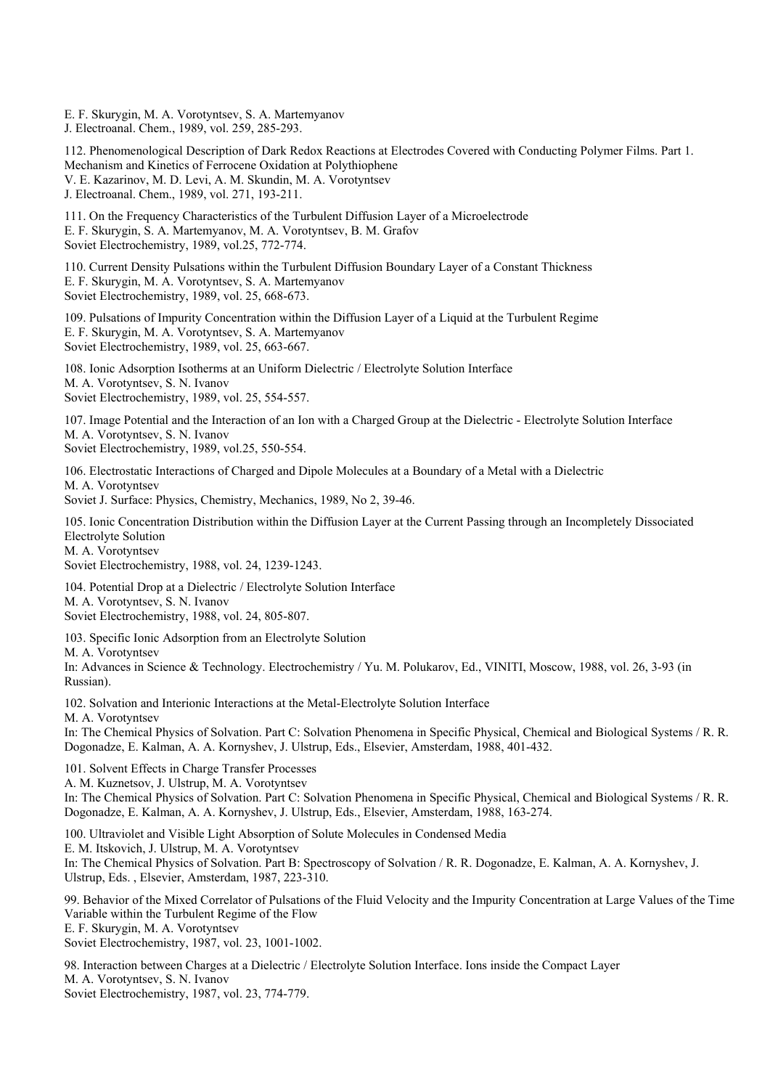E. F. Skurygin, M. A. Vorotyntsev, S. A. Martemyanov J. Electroanal. Chem., 1989, vol. 259, 285-293.

112. Phenomenological Description of Dark Redox Reactions at Electrodes Covered with Conducting Polymer Films. Part 1. Mechanism and Kinetics of Ferrocene Oxidation at Polythiophene V. E. Kazarinov, M. D. Levi, A. M. Skundin, M. A. Vorotyntsev J. Electroanal. Chem., 1989, vol. 271, 193-211.

111. On the Frequency Characteristics of the Turbulent Diffusion Layer of a Microelectrode E. F. Skurygin, S. A. Martemyanov, M. A. Vorotyntsev, B. M. Grafov Soviet Electrochemistry, 1989, vol.25, 772-774.

110. Current Density Pulsations within the Turbulent Diffusion Boundary Layer of a Constant Thickness E. F. Skurygin, M. A. Vorotyntsev, S. A. Martemyanov Soviet Electrochemistry, 1989, vol. 25, 668-673.

109. Pulsations of Impurity Concentration within the Diffusion Layer of a Liquid at the Turbulent Regime E. F. Skurygin, M. A. Vorotyntsev, S. A. Martemyanov Soviet Electrochemistry, 1989, vol. 25, 663-667.

108. Ionic Adsorption Isotherms at an Uniform Dielectric / Electrolyte Solution Interface M. A. Vorotyntsev, S. N. Ivanov Soviet Electrochemistry, 1989, vol. 25, 554-557.

107. Image Potential and the Interaction of an Ion with a Charged Group at the Dielectric - Electrolyte Solution Interface M. A. Vorotyntsev, S. N. Ivanov Soviet Electrochemistry, 1989, vol.25, 550-554.

106. Electrostatic Interactions of Charged and Dipole Molecules at a Boundary of a Metal with a Dielectric M. A. Vorotyntsev

Soviet J. Surface: Physics, Chemistry, Mechanics, 1989, No 2, 39-46.

105. Ionic Concentration Distribution within the Diffusion Layer at the Current Passing through an Incompletely Dissociated Electrolyte Solution M. A. Vorotyntsev

Soviet Electrochemistry, 1988, vol. 24, 1239-1243.

104. Potential Drop at a Dielectric / Electrolyte Solution Interface M. A. Vorotyntsev, S. N. Ivanov Soviet Electrochemistry, 1988, vol. 24, 805-807.

103. Specific Ionic Adsorption from an Electrolyte Solution

M. A. Vorotyntsev

In: Advances in Science & Technology. Electrochemistry / Yu. M. Polukarov, Ed., VINITI, Moscow, 1988, vol. 26, 3-93 (in Russian).

102. Solvation and Interionic Interactions at the Metal-Electrolyte Solution Interface

M. A. Vorotyntsev

In: The Chemical Physics of Solvation. Part C: Solvation Phenomena in Specific Physical, Chemical and Biological Systems / R. R. Dogonadze, E. Kalman, A. A. Kornyshev, J. Ulstrup, Eds., Elsevier, Amsterdam, 1988, 401-432.

101. Solvent Effects in Charge Transfer Processes

A. M. Kuznetsov, J. Ulstrup, M. A. Vorotyntsev

In: The Chemical Physics of Solvation. Part C: Solvation Phenomena in Specific Physical, Chemical and Biological Systems / R. R. Dogonadze, E. Kalman, A. A. Kornyshev, J. Ulstrup, Eds., Elsevier, Amsterdam, 1988, 163-274.

100. Ultraviolet and Visible Light Absorption of Solute Molecules in Condensed Media E. M. Itskovich, J. Ulstrup, M. A. Vorotyntsev In: The Chemical Physics of Solvation. Part B: Spectroscopy of Solvation / R. R. Dogonadze, E. Kalman, A. A. Kornyshev, J. Ulstrup, Eds. , Elsevier, Amsterdam, 1987, 223-310.

99. Behavior of the Mixed Correlator of Pulsations of the Fluid Velocity and the Impurity Concentration at Large Values of the Time Variable within the Turbulent Regime of the Flow

E. F. Skurygin, M. A. Vorotyntsev

Soviet Electrochemistry, 1987, vol. 23, 1001-1002.

98. Interaction between Charges at a Dielectric / Electrolyte Solution Interface. Ions inside the Compact Layer M. A. Vorotyntsev, S. N. Ivanov Soviet Electrochemistry, 1987, vol. 23, 774-779.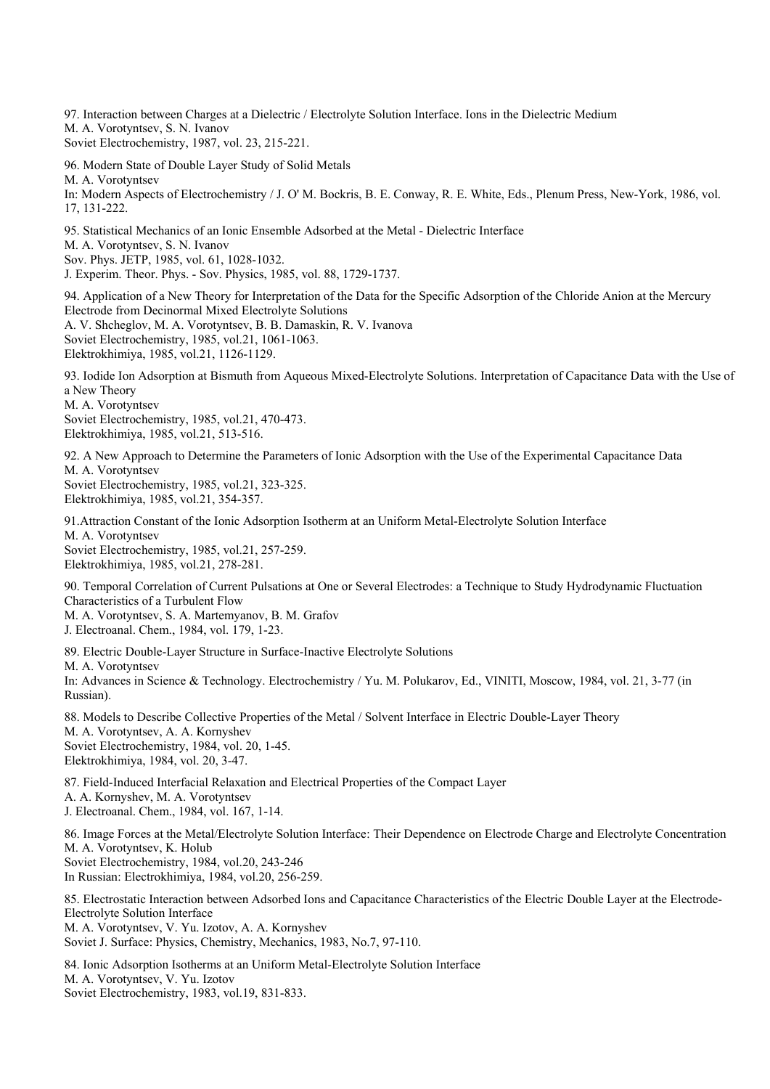97. Interaction between Charges at a Dielectric / Electrolyte Solution Interface. Ions in the Dielectric Medium

M. A. Vorotyntsev, S. N. Ivanov

Soviet Electrochemistry, 1987, vol. 23, 215-221.

96. Modern State of Double Layer Study of Solid Metals

M. A. Vorotyntsev

In: Modern Aspects of Electrochemistry / J. O' M. Bockris, B. E. Conway, R. E. White, Eds., Plenum Press, New-York, 1986, vol. 17, 131-222.

95. Statistical Mechanics of an Ionic Ensemble Adsorbed at the Metal - Dielectric Interface

M. A. Vorotyntsev, S. N. Ivanov

Sov. Phys. JETP, 1985, vol. 61, 1028-1032.

J. Experim. Theor. Phys. - Sov. Physics, 1985, vol. 88, 1729-1737.

94. Application of a New Theory for Interpretation of the Data for the Specific Adsorption of the Chloride Anion at the Mercury Electrode from Decinormal Mixed Electrolyte Solutions A. V. Shcheglov, M. A. Vorotyntsev, B. B. Damaskin, R. V. Ivanova Soviet Electrochemistry, 1985, vol.21, 1061-1063. Elektrokhimiya, 1985, vol.21, 1126-1129.

93. Iodide Ion Adsorption at Bismuth from Aqueous Mixed-Electrolyte Solutions. Interpretation of Capacitance Data with the Use of a New Theory M. A. Vorotyntsev

Soviet Electrochemistry, 1985, vol.21, 470-473. Elektrokhimiya, 1985, vol.21, 513-516.

92. A New Approach to Determine the Parameters of Ionic Adsorption with the Use of the Experimental Capacitance Data M. A. Vorotyntsev

Soviet Electrochemistry, 1985, vol.21, 323-325. Elektrokhimiya, 1985, vol.21, 354-357.

91.Attraction Constant of the Ionic Adsorption Isotherm at an Uniform Metal-Electrolyte Solution Interface M. A. Vorotyntsev Soviet Electrochemistry, 1985, vol.21, 257-259. Elektrokhimiya, 1985, vol.21, 278-281.

90. Temporal Correlation of Current Pulsations at One or Several Electrodes: a Technique to Study Hydrodynamic Fluctuation Characteristics of a Turbulent Flow

M. A. Vorotyntsev, S. A. Martemyanov, B. M. Grafov J. Electroanal. Chem., 1984, vol. 179, 1-23.

89. Electric Double-Layer Structure in Surface-Inactive Electrolyte Solutions M. A. Vorotyntsev In: Advances in Science & Technology. Electrochemistry / Yu. M. Polukarov, Ed., VINITI, Moscow, 1984, vol. 21, 3-77 (in Russian).

88. Models to Describe Collective Properties of the Metal / Solvent Interface in Electric Double-Layer Theory M. A. Vorotyntsev, A. A. Kornyshev Soviet Electrochemistry, 1984, vol. 20, 1-45. Elektrokhimiya, 1984, vol. 20, 3-47.

87. Field-Induced Interfacial Relaxation and Electrical Properties of the Compact Layer A. A. Kornyshev, M. A. Vorotyntsev J. Electroanal. Chem., 1984, vol. 167, 1-14.

86. Image Forces at the Metal/Electrolyte Solution Interface: Their Dependence on Electrode Charge and Electrolyte Concentration M. A. Vorotyntsev, K. Holub Soviet Electrochemistry, 1984, vol.20, 243-246 In Russian: Electrokhimiya, 1984, vol.20, 256-259.

85. Electrostatic Interaction between Adsorbed Ions and Capacitance Characteristics of the Electric Double Layer at the Electrode-Electrolyte Solution Interface M. A. Vorotyntsev, V. Yu. Izotov, A. A. Kornyshev

Soviet J. Surface: Physics, Chemistry, Mechanics, 1983, No.7, 97-110.

84. Ionic Adsorption Isotherms at an Uniform Metal-Electrolyte Solution Interface M. A. Vorotyntsev, V. Yu. Izotov Soviet Electrochemistry, 1983, vol.19, 831-833.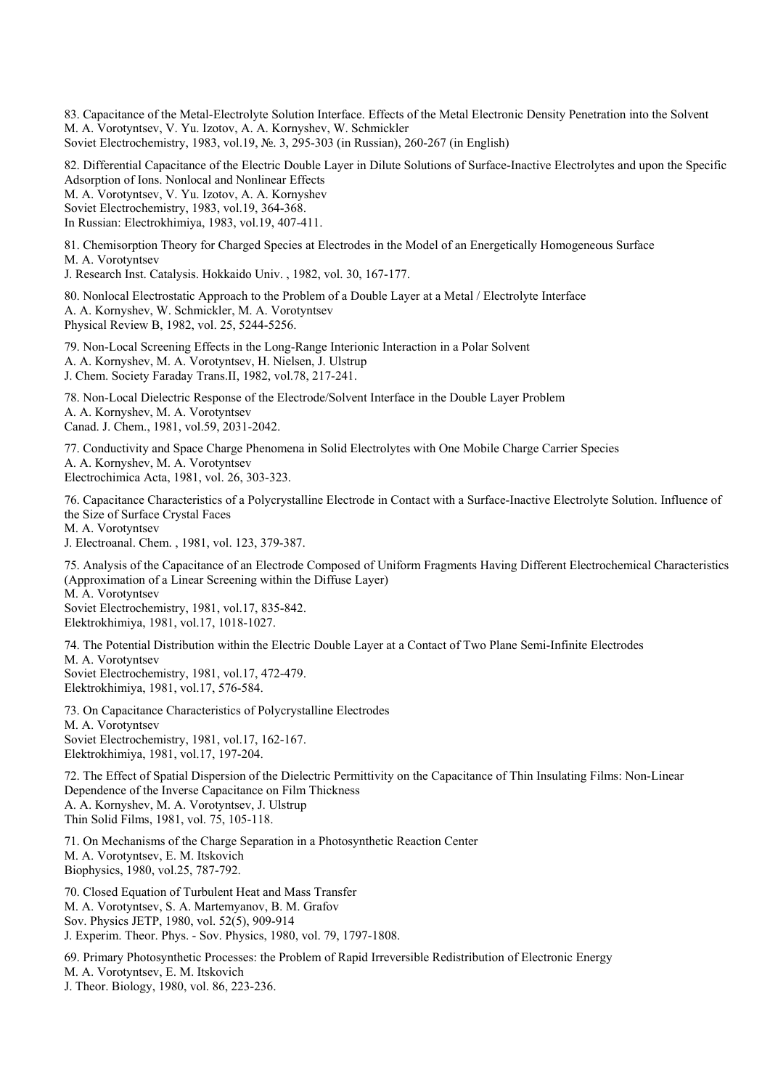83. Capacitance of the Metal-Electrolyte Solution Interface. Effects of the Metal Electronic Density Penetration into the Solvent M. A. Vorotyntsev, V. Yu. Izotov, A. A. Kornyshev, W. Schmickler Soviet Electrochemistry, 1983, vol.19, №. 3, 295-303 (in Russian), 260-267 (in English)

82. Differential Capacitance of the Electric Double Layer in Dilute Solutions of Surface-Inactive Electrolytes and upon the Specific Adsorption of Ions. Nonlocal and Nonlinear Effects M. A. Vorotyntsev, V. Yu. Izotov, A. A. Kornyshev Soviet Electrochemistry, 1983, vol.19, 364-368.

In Russian: Electrokhimiya, 1983, vol.19, 407-411.

81. Chemisorption Theory for Charged Species at Electrodes in the Model of an Energetically Homogeneous Surface M. A. Vorotyntsev

J. Research Inst. Catalysis. Hokkaido Univ. , 1982, vol. 30, 167-177.

80. Nonlocal Electrostatic Approach to the Problem of a Double Layer at a Metal / Electrolyte Interface A. A. Kornyshev, W. Schmickler, M. A. Vorotyntsev Physical Review B, 1982, vol. 25, 5244-5256.

79. Non-Local Screening Effects in the Long-Range Interionic Interaction in a Polar Solvent A. A. Kornyshev, M. A. Vorotyntsev, H. Nielsen, J. Ulstrup J. Chem. Society Faraday Trans.II, 1982, vol.78, 217-241.

78. Non-Local Dielectric Response of the Electrode/Solvent Interface in the Double Layer Problem A. A. Kornyshev, M. A. Vorotyntsev Canad. J. Chem., 1981, vol.59, 2031-2042.

77. Conductivity and Space Charge Phenomena in Solid Electrolytes with One Mobile Charge Carrier Species A. A. Kornyshev, M. A. Vorotyntsev Electrochimica Acta, 1981, vol. 26, 303-323.

76. Capacitance Characteristics of a Polycrystalline Electrode in Contact with a Surface-Inactive Electrolyte Solution. Influence of the Size of Surface Crystal Faces M. A. Vorotyntsev

J. Electroanal. Chem. , 1981, vol. 123, 379-387.

75. Analysis of the Capacitance of an Electrode Composed of Uniform Fragments Having Different Electrochemical Characteristics (Approximation of a Linear Screening within the Diffuse Layer) M. A. Vorotyntsev

Soviet Electrochemistry, 1981, vol.17, 835-842. Elektrokhimiya, 1981, vol.17, 1018-1027.

74. The Potential Distribution within the Electric Double Layer at a Contact of Two Plane Semi-Infinite Electrodes M. A. Vorotyntsev

Soviet Electrochemistry, 1981, vol.17, 472-479. Elektrokhimiya, 1981, vol.17, 576-584.

73. On Capacitance Characteristics of Polycrystalline Electrodes M. A. Vorotyntsev Soviet Electrochemistry, 1981, vol.17, 162-167. Elektrokhimiya, 1981, vol.17, 197-204.

72. The Effect of Spatial Dispersion of the Dielectric Permittivity on the Capacitance of Thin Insulating Films: Non-Linear Dependence of the Inverse Capacitance on Film Thickness A. A. Kornyshev, M. A. Vorotyntsev, J. Ulstrup Thin Solid Films, 1981, vol. 75, 105-118.

71. On Mechanisms of the Charge Separation in a Photosynthetic Reaction Center M. A. Vorotyntsev, E. M. Itskovich Biophysics, 1980, vol.25, 787-792.

70. Closed Equation of Turbulent Heat and Mass Transfer M. A. Vorotyntsev, S. A. Martemyanov, B. M. Grafov Sov. Physics JETP, 1980, vol. 52(5), 909-914 J. Experim. Theor. Phys. - Sov. Physics, 1980, vol. 79, 1797-1808.

69. Primary Photosynthetic Processes: the Problem of Rapid Irreversible Redistribution of Electronic Energy M. A. Vorotyntsev, E. M. Itskovich J. Theor. Biology, 1980, vol. 86, 223-236.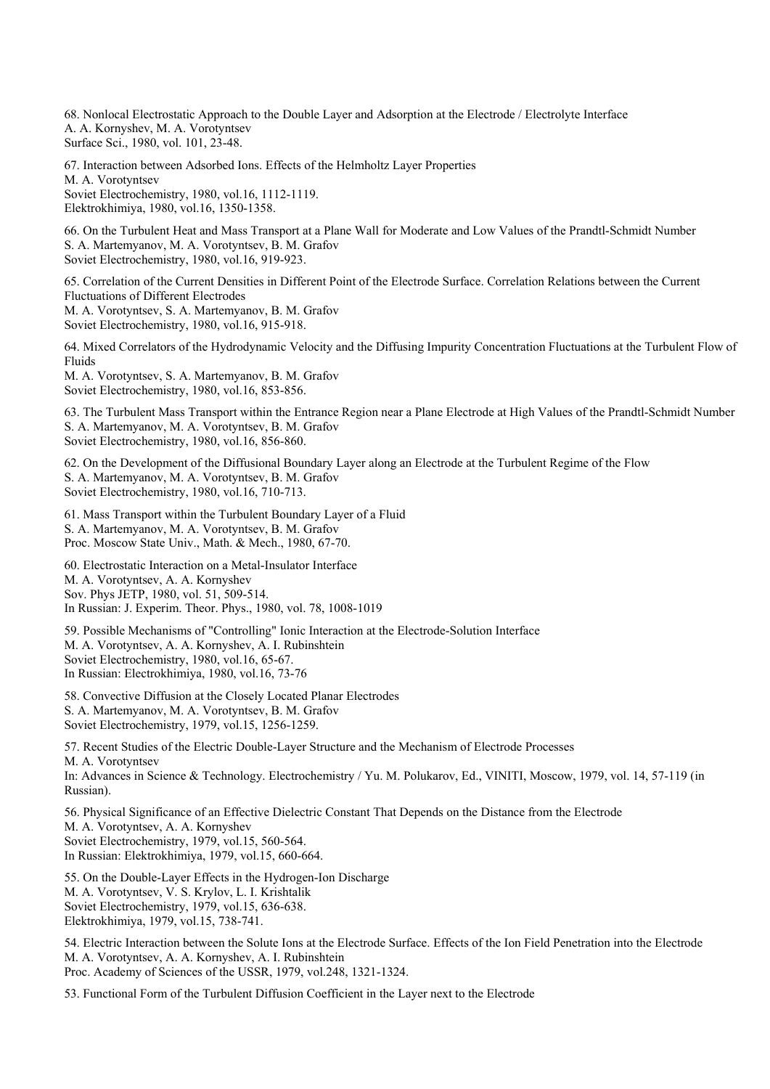68. Nonlocal Electrostatic Approach to the Double Layer and Adsorption at the Electrode / Electrolyte Interface A. A. Kornyshev, M. A. Vorotyntsev Surface Sci., 1980, vol. 101, 23-48.

67. Interaction between Adsorbed Ions. Effects of the Helmholtz Layer Properties M. A. Vorotyntsev Soviet Electrochemistry, 1980, vol.16, 1112-1119. Elektrokhimiya, 1980, vol.16, 1350-1358.

66. On the Turbulent Heat and Mass Transport at a Plane Wall for Moderate and Low Values of the Prandtl-Schmidt Number S. A. Martemyanov, M. A. Vorotyntsev, B. M. Grafov Soviet Electrochemistry, 1980, vol.16, 919-923.

65. Correlation of the Current Densities in Different Point of the Electrode Surface. Correlation Relations between the Current Fluctuations of Different Electrodes M. A. Vorotyntsev, S. A. Martemyanov, B. M. Grafov Soviet Electrochemistry, 1980, vol.16, 915-918.

64. Mixed Correlators of the Hydrodynamic Velocity and the Diffusing Impurity Concentration Fluctuations at the Turbulent Flow of Fluids

M. A. Vorotyntsev, S. A. Martemyanov, B. M. Grafov Soviet Electrochemistry, 1980, vol.16, 853-856.

63. The Turbulent Mass Transport within the Entrance Region near a Plane Electrode at High Values of the Prandtl-Schmidt Number S. A. Martemyanov, M. A. Vorotyntsev, B. M. Grafov Soviet Electrochemistry, 1980, vol.16, 856-860.

62. On the Development of the Diffusional Boundary Layer along an Electrode at the Turbulent Regime of the Flow S. A. Martemyanov, M. A. Vorotyntsev, B. M. Grafov Soviet Electrochemistry, 1980, vol.16, 710-713.

61. Mass Transport within the Turbulent Boundary Layer of a Fluid S. A. Martemyanov, M. A. Vorotyntsev, B. M. Grafov Proc. Moscow State Univ., Math. & Mech., 1980, 67-70.

60. Electrostatic Interaction on a Metal-Insulator Interface M. A. Vorotyntsev, A. A. Kornyshev Sov. Phys JETP, 1980, vol. 51, 509-514. In Russian: J. Experim. Theor. Phys., 1980, vol. 78, 1008-1019

59. Possible Mechanisms of "Controlling" Ionic Interaction at the Electrode-Solution Interface M. A. Vorotyntsev, A. A. Kornyshev, A. I. Rubinshtein Soviet Electrochemistry, 1980, vol.16, 65-67. In Russian: Electrokhimiya, 1980, vol.16, 73-76

58. Convective Diffusion at the Closely Located Planar Electrodes S. A. Martemyanov, M. A. Vorotyntsev, B. M. Grafov Soviet Electrochemistry, 1979, vol.15, 1256-1259.

57. Recent Studies of the Electric Double-Layer Structure and the Mechanism of Electrode Processes M. A. Vorotyntsev In: Advances in Science & Technology. Electrochemistry / Yu. M. Polukarov, Ed., VINITI, Moscow, 1979, vol. 14, 57-119 (in Russian).

56. Physical Significance of an Effective Dielectric Constant That Depends on the Distance from the Electrode M. A. Vorotyntsev, A. A. Kornyshev Soviet Electrochemistry, 1979, vol.15, 560-564. In Russian: Elektrokhimiya, 1979, vol.15, 660-664.

55. On the Double-Layer Effects in the Hydrogen-Ion Discharge M. A. Vorotyntsev, V. S. Krylov, L. I. Krishtalik Soviet Electrochemistry, 1979, vol.15, 636-638. Elektrokhimiya, 1979, vol.15, 738-741.

54. Electric Interaction between the Solute Ions at the Electrode Surface. Effects of the Ion Field Penetration into the Electrode M. A. Vorotyntsev, A. A. Kornyshev, A. I. Rubinshtein Proc. Academy of Sciences of the USSR, 1979, vol.248, 1321-1324.

53. Functional Form of the Turbulent Diffusion Coefficient in the Layer next to the Electrode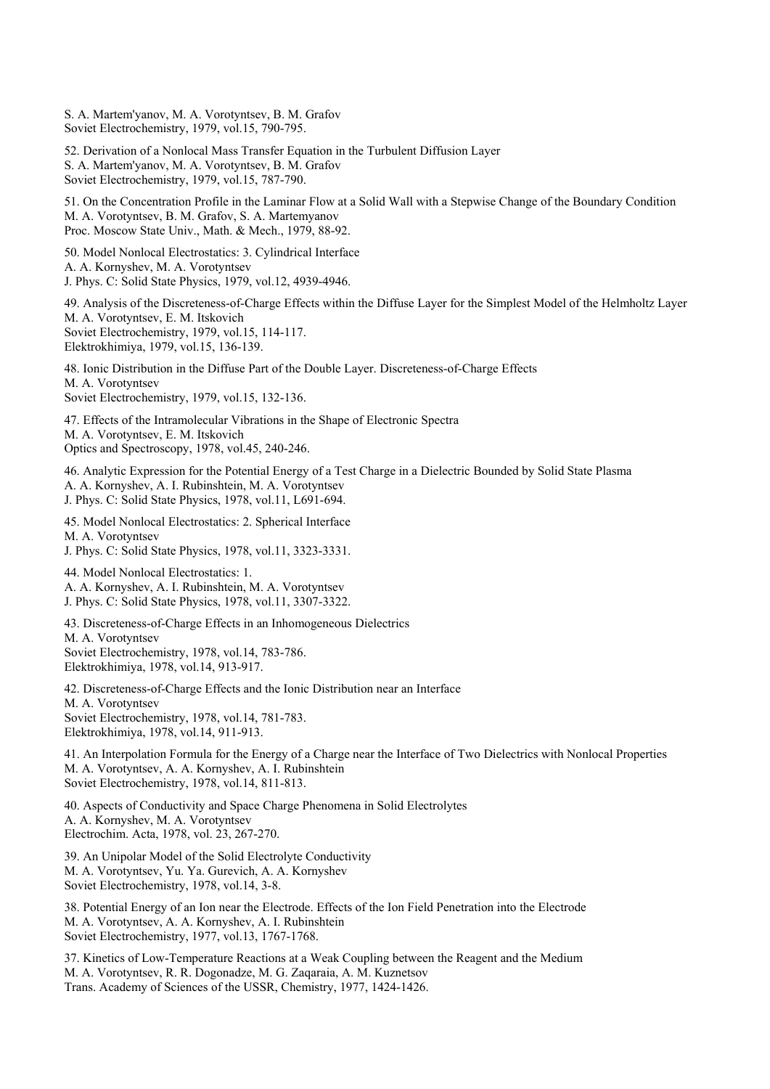S. A. Martem'yanov, M. A. Vorotyntsev, B. M. Grafov Soviet Electrochemistry, 1979, vol.15, 790-795. 52. Derivation of a Nonlocal Mass Transfer Equation in the Turbulent Diffusion Layer S. A. Martem'yanov, M. A. Vorotyntsev, B. M. Grafov Soviet Electrochemistry, 1979, vol.15, 787-790. 51. On the Concentration Profile in the Laminar Flow at a Solid Wall with a Stepwise Change of the Boundary Condition M. A. Vorotyntsev, B. M. Grafov, S. A. Martemyanov Proc. Moscow State Univ., Math. & Mech., 1979, 88-92. 50. Model Nonlocal Electrostatics: 3. Cylindrical Interface A. A. Kornyshev, M. A. Vorotyntsev J. Phys. C: Solid State Physics, 1979, vol.12, 4939-4946. 49. Analysis of the Discreteness-of-Charge Effects within the Diffuse Layer for the Simplest Model of the Helmholtz Layer M. A. Vorotyntsev, E. M. Itskovich Soviet Electrochemistry, 1979, vol.15, 114-117. Elektrokhimiya, 1979, vol.15, 136-139. 48. Ionic Distribution in the Diffuse Part of the Double Layer. Discreteness-of-Charge Effects M. A. Vorotyntsev Soviet Electrochemistry, 1979, vol.15, 132-136. 47. Effects of the Intramolecular Vibrations in the Shape of Electronic Spectra M. A. Vorotyntsev, E. M. Itskovich Optics and Spectroscopy, 1978, vol.45, 240-246. 46. Analytic Expression for the Potential Energy of a Test Charge in a Dielectric Bounded by Solid State Plasma A. A. Kornyshev, A. I. Rubinshtein, M. A. Vorotyntsev J. Phys. C: Solid State Physics, 1978, vol.11, L691-694. 45. Model Nonlocal Electrostatics: 2. Spherical Interface M. A. Vorotyntsev J. Phys. C: Solid State Physics, 1978, vol.11, 3323-3331. 44. Model Nonlocal Electrostatics: 1. A. A. Kornyshev, A. I. Rubinshtein, M. A. Vorotyntsev J. Phys. C: Solid State Physics, 1978, vol.11, 3307-3322. 43. Discreteness-of-Charge Effects in an Inhomogeneous Dielectrics M. A. Vorotyntsev Soviet Electrochemistry, 1978, vol.14, 783-786. Elektrokhimiya, 1978, vol.14, 913-917. 42. Discreteness-of-Charge Effects and the Ionic Distribution near an Interface M. A. Vorotyntsev Soviet Electrochemistry, 1978, vol.14, 781-783. Elektrokhimiya, 1978, vol.14, 911-913. 41. An Interpolation Formula for the Energy of a Charge near the Interface of Two Dielectrics with Nonlocal Properties M. A. Vorotyntsev, A. A. Kornyshev, A. I. Rubinshtein Soviet Electrochemistry, 1978, vol.14, 811-813. 40. Aspects of Conductivity and Space Charge Phenomena in Solid Electrolytes A. A. Kornyshev, M. A. Vorotyntsev Electrochim. Acta, 1978, vol. 23, 267-270. 39. An Unipolar Model of the Solid Electrolyte Conductivity M. A. Vorotyntsev, Yu. Ya. Gurevich, A. A. Kornyshev Soviet Electrochemistry, 1978, vol.14, 3-8. 38. Potential Energy of an Ion near the Electrode. Effects of the Ion Field Penetration into the Electrode M. A. Vorotyntsev, A. A. Kornyshev, A. I. Rubinshtein Soviet Electrochemistry, 1977, vol.13, 1767-1768.

37. Kinetics of Low-Temperature Reactions at a Weak Coupling between the Reagent and the Medium M. A. Vorotyntsev, R. R. Dogonadze, M. G. Zaqaraia, A. M. Kuznetsov Trans. Academy of Sciences of the USSR, Chemistry, 1977, 1424-1426.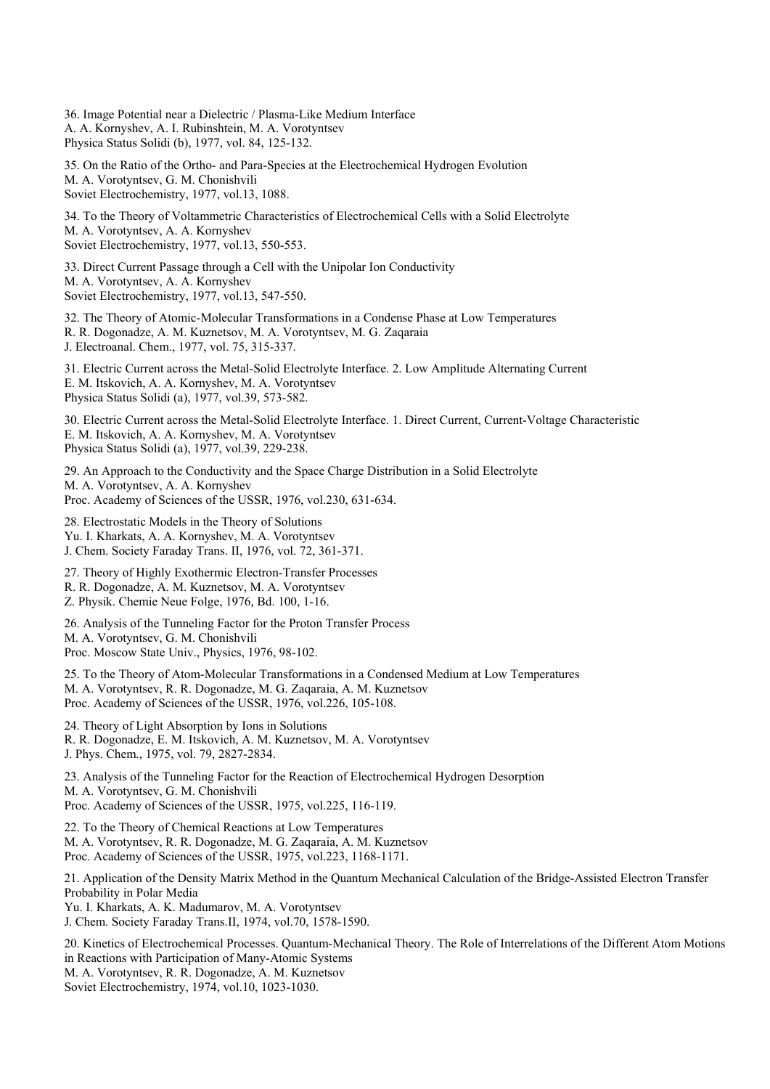36. Image Potential near a Dielectric / Plasma-Like Medium Interface A. A. Kornyshev, A. I. Rubinshtein, M. A. Vorotyntsev Physica Status Solidi (b), 1977, vol. 84, 125-132.

35. On the Ratio of the Ortho- and Para-Species at the Electrochemical Hydrogen Evolution M. A. Vorotyntsev, G. M. Chonishvili Soviet Electrochemistry, 1977, vol.13, 1088.

34. To the Theory of Voltammetric Characteristics of Electrochemical Cells with a Solid Electrolyte M. A. Vorotyntsev, A. A. Kornyshev Soviet Electrochemistry, 1977, vol.13, 550-553.

33. Direct Current Passage through a Cell with the Unipolar Ion Conductivity M. A. Vorotyntsev, A. A. Kornyshev Soviet Electrochemistry, 1977, vol.13, 547-550.

32. The Theory of Atomic-Molecular Transformations in a Condense Phase at Low Temperatures R. R. Dogonadze, A. M. Kuznetsov, M. A. Vorotyntsev, M. G. Zaqaraia J. Electroanal. Chem., 1977, vol. 75, 315-337.

31. Electric Current across the Metal-Solid Electrolyte Interface. 2. Low Amplitude Alternating Current E. M. Itskovich, A. A. Kornyshev, M. A. Vorotyntsev Physica Status Solidi (a), 1977, vol.39, 573-582.

30. Electric Current across the Metal-Solid Electrolyte Interface. 1. Direct Current, Current-Voltage Characteristic E. M. Itskovich, A. A. Kornyshev, M. A. Vorotyntsev Physica Status Solidi (a), 1977, vol.39, 229-238.

29. An Approach to the Conductivity and the Space Charge Distribution in a Solid Electrolyte M. A. Vorotyntsev, A. A. Kornyshev Proc. Academy of Sciences of the USSR, 1976, vol.230, 631-634.

28. Electrostatic Models in the Theory of Solutions Yu. I. Kharkats, A. A. Kornyshev, M. A. Vorotyntsev J. Chem. Society Faraday Trans. II, 1976, vol. 72, 361-371.

27. Theory of Highly Exothermic Electron-Transfer Processes R. R. Dogonadze, A. M. Kuznetsov, M. A. Vorotyntsev Z. Physik. Chemie Neue Folge, 1976, Bd. 100, 1-16.

26. Analysis of the Tunneling Factor for the Proton Transfer Process M. A. Vorotyntsev, G. M. Chonishvili Proc. Moscow State Univ., Physics, 1976, 98-102.

25. To the Theory of Atom-Molecular Transformations in a Condensed Medium at Low Temperatures M. A. Vorotyntsev, R. R. Dogonadze, M. G. Zaqaraia, A. M. Kuznetsov Proc. Academy of Sciences of the USSR, 1976, vol.226, 105-108.

24. Theory of Light Absorption by Ions in Solutions R. R. Dogonadze, E. M. Itskovich, A. M. Kuznetsov, M. A. Vorotyntsev J. Phys. Chem., 1975, vol. 79, 2827-2834.

23. Analysis of the Tunneling Factor for the Reaction of Electrochemical Hydrogen Desorption M. A. Vorotyntsev, G. M. Chonishvili Proc. Academy of Sciences of the USSR, 1975, vol.225, 116-119.

22. To the Theory of Chemical Reactions at Low Temperatures M. A. Vorotyntsev, R. R. Dogonadze, M. G. Zaqaraia, A. M. Kuznetsov Proc. Academy of Sciences of the USSR, 1975, vol.223, 1168-1171.

21. Application of the Density Matrix Method in the Quantum Mechanical Calculation of the Bridge-Assisted Electron Transfer Probability in Polar Media Yu. I. Kharkats, A. K. Madumarov, M. A. Vorotyntsev

J. Chem. Society Faraday Trans.II, 1974, vol.70, 1578-1590.

20. Kinetics of Electrochemical Processes. Quantum-Mechanical Theory. The Role of Interrelations of the Different Atom Motions in Reactions with Participation of Many-Atomic Systems M. A. Vorotyntsev, R. R. Dogonadze, A. M. Kuznetsov

Soviet Electrochemistry, 1974, vol.10, 1023-1030.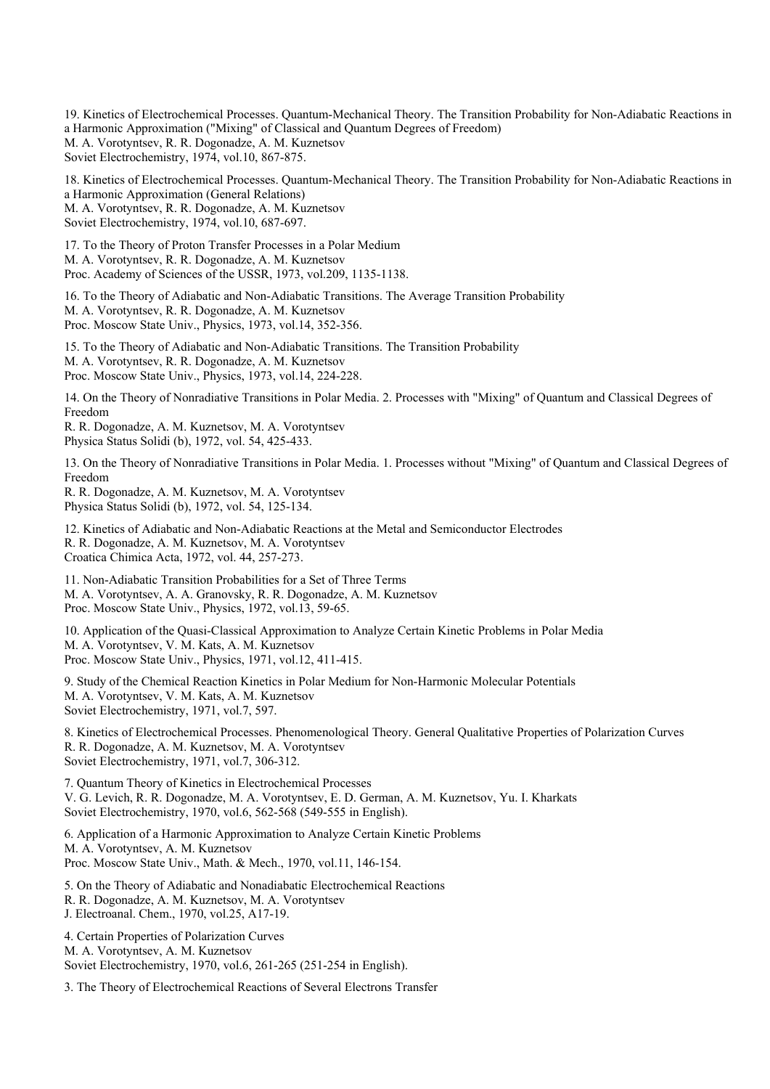19. Kinetics of Electrochemical Processes. Quantum-Mechanical Theory. The Transition Probability for Non-Adiabatic Reactions in a Harmonic Approximation ("Mixing" of Classical and Quantum Degrees of Freedom) M. A. Vorotyntsev, R. R. Dogonadze, A. M. Kuznetsov Soviet Electrochemistry, 1974, vol.10, 867-875.

18. Kinetics of Electrochemical Processes. Quantum-Mechanical Theory. The Transition Probability for Non-Adiabatic Reactions in a Harmonic Approximation (General Relations) M. A. Vorotyntsev, R. R. Dogonadze, A. M. Kuznetsov Soviet Electrochemistry, 1974, vol.10, 687-697.

17. To the Theory of Proton Transfer Processes in a Polar Medium M. A. Vorotyntsev, R. R. Dogonadze, A. M. Kuznetsov Proc. Academy of Sciences of the USSR, 1973, vol.209, 1135-1138.

16. To the Theory of Adiabatic and Non-Adiabatic Transitions. The Average Transition Probability M. A. Vorotyntsev, R. R. Dogonadze, A. M. Kuznetsov Proc. Moscow State Univ., Physics, 1973, vol.14, 352-356.

15. To the Theory of Adiabatic and Non-Adiabatic Transitions. The Transition Probability M. A. Vorotyntsev, R. R. Dogonadze, A. M. Kuznetsov Proc. Moscow State Univ., Physics, 1973, vol.14, 224-228.

14. On the Theory of Nonradiative Transitions in Polar Media. 2. Processes with "Mixing" of Quantum and Classical Degrees of Freedom

R. R. Dogonadze, A. M. Kuznetsov, M. A. Vorotyntsev Physica Status Solidi (b), 1972, vol. 54, 425-433.

13. On the Theory of Nonradiative Transitions in Polar Media. 1. Processes without "Mixing" of Quantum and Classical Degrees of Freedom

R. R. Dogonadze, A. M. Kuznetsov, M. A. Vorotyntsev Physica Status Solidi (b), 1972, vol. 54, 125-134.

12. Kinetics of Adiabatic and Non-Adiabatic Reactions at the Metal and Semiconductor Electrodes R. R. Dogonadze, A. M. Kuznetsov, M. A. Vorotyntsev Croatica Chimica Acta, 1972, vol. 44, 257-273.

11. Non-Adiabatic Transition Probabilities for a Set of Three Terms M. A. Vorotyntsev, A. A. Granovsky, R. R. Dogonadze, A. M. Kuznetsov Proc. Moscow State Univ., Physics, 1972, vol.13, 59-65.

10. Application of the Quasi-Classical Approximation to Analyze Certain Kinetic Problems in Polar Media M. A. Vorotyntsev, V. M. Kats, A. M. Kuznetsov Proc. Moscow State Univ., Physics, 1971, vol.12, 411-415.

9. Study of the Chemical Reaction Kinetics in Polar Medium for Non-Harmonic Molecular Potentials M. A. Vorotyntsev, V. M. Kats, A. M. Kuznetsov Soviet Electrochemistry, 1971, vol.7, 597.

8. Kinetics of Electrochemical Processes. Phenomenological Theory. General Qualitative Properties of Polarization Curves R. R. Dogonadze, A. M. Kuznetsov, M. A. Vorotyntsev Soviet Electrochemistry, 1971, vol.7, 306-312.

7. Quantum Theory of Kinetics in Electrochemical Processes V. G. Levich, R. R. Dogonadze, M. A. Vorotyntsev, E. D. German, A. M. Kuznetsov, Yu. I. Kharkats Soviet Electrochemistry, 1970, vol.6, 562-568 (549-555 in English).

6. Application of a Harmonic Approximation to Analyze Certain Kinetic Problems M. A. Vorotyntsev, A. M. Kuznetsov Proc. Moscow State Univ., Math. & Mech., 1970, vol.11, 146-154.

5. On the Theory of Adiabatic and Nonadiabatic Electrochemical Reactions R. R. Dogonadze, A. M. Kuznetsov, M. A. Vorotyntsev J. Electroanal. Chem., 1970, vol.25, A17-19.

4. Certain Properties of Polarization Curves M. A. Vorotyntsev, A. M. Kuznetsov Soviet Electrochemistry, 1970, vol.6, 261-265 (251-254 in English).

3. The Theory of Electrochemical Reactions of Several Electrons Transfer